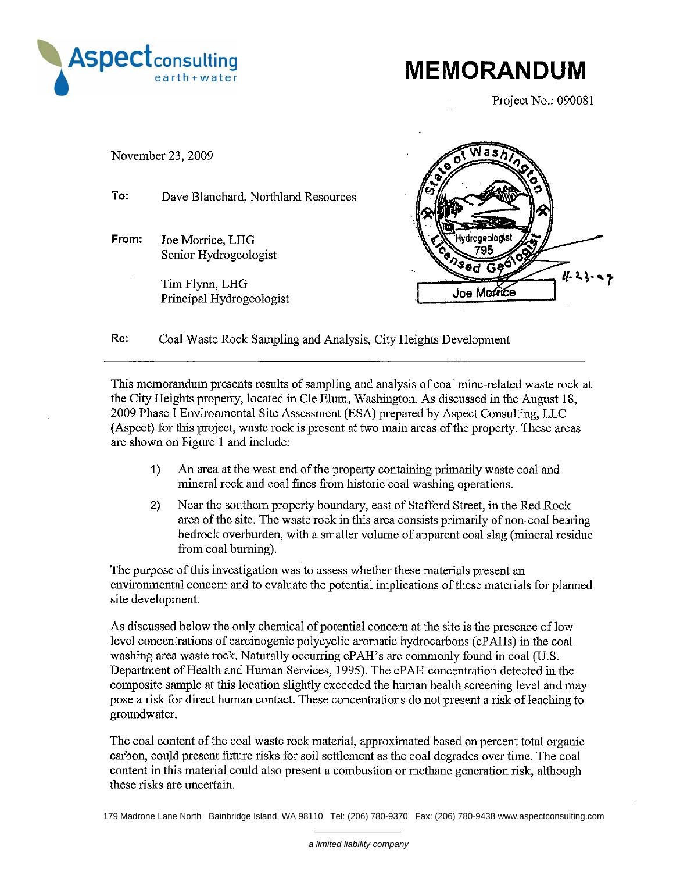

**MEMORANDUM** 

Project No.: 090081



Re: Coal Waste Rock Sampling and Analysis, City Heights Development

This memorandum presents results of sampling and analysis of coal mine-related waste rock at the City Heights property, located in Cle Elum, Washington. As discussed in the August 18. 2009 Phase I Environmental Site Assessment (ESA) prepared by Aspect Consulting, LLC (Aspect) for this project, waste rock is present at two main areas of the property. These areas are shown on Figure 1 and include:

- $1)$ An area at the west end of the property containing primarily waste coal and mineral rock and coal fines from historic coal washing operations.
- $2)$ Near the southern property boundary, east of Stafford Street, in the Red Rock area of the site. The waste rock in this area consists primarily of non-coal bearing bedrock overburden, with a smaller volume of apparent coal slag (mineral residue from coal burning).

The purpose of this investigation was to assess whether these materials present an environmental concern and to evaluate the potential implications of these materials for planned site development.

As discussed below the only chemical of potential concern at the site is the presence of low level concentrations of carcinogenic polycyclic aromatic hydrocarbons (cPAHs) in the coal washing area waste rock. Naturally occurring cPAH's are commonly found in coal (U.S. Department of Health and Human Services, 1995). The cPAH concentration detected in the composite sample at this location slightly exceeded the human health screening level and may pose a risk for direct human contact. These concentrations do not present a risk of leaching to groundwater.

The coal content of the coal waste rock material, approximated based on percent total organic carbon, could present future risks for soil settlement as the coal degrades over time. The coal content in this material could also present a combustion or methane generation risk, although these risks are uncertain.

179 Madrone Lane North Bainbridge Island, WA 98110 Tel: (206) 780-9370 Fax: (206) 780-9438 www.aspectconsulting.com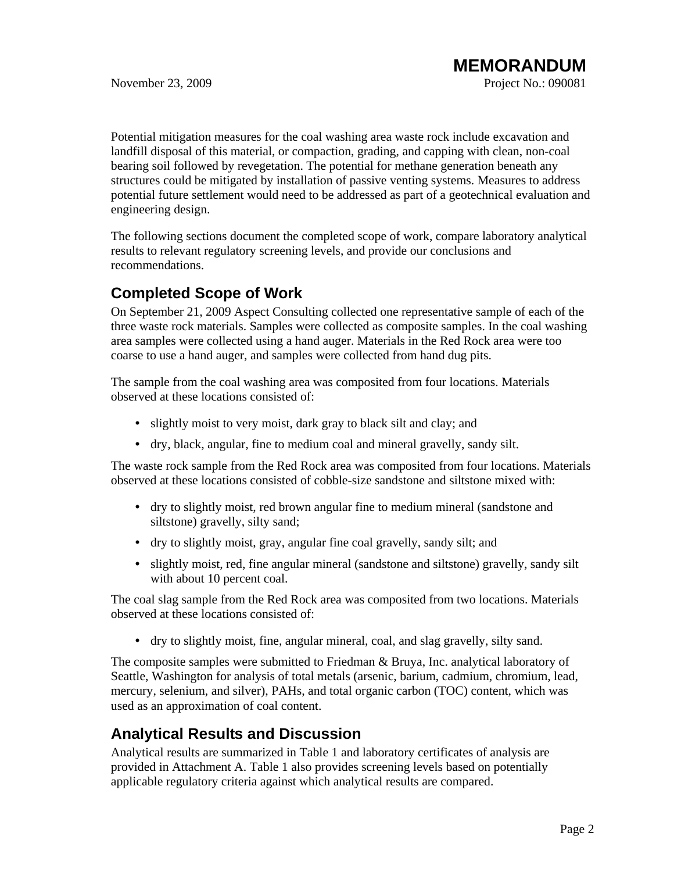Potential mitigation measures for the coal washing area waste rock include excavation and landfill disposal of this material, or compaction, grading, and capping with clean, non-coal bearing soil followed by revegetation. The potential for methane generation beneath any structures could be mitigated by installation of passive venting systems. Measures to address potential future settlement would need to be addressed as part of a geotechnical evaluation and engineering design.

The following sections document the completed scope of work, compare laboratory analytical results to relevant regulatory screening levels, and provide our conclusions and recommendations.

## **Completed Scope of Work**

On September 21, 2009 Aspect Consulting collected one representative sample of each of the three waste rock materials. Samples were collected as composite samples. In the coal washing area samples were collected using a hand auger. Materials in the Red Rock area were too coarse to use a hand auger, and samples were collected from hand dug pits.

The sample from the coal washing area was composited from four locations. Materials observed at these locations consisted of:

- slightly moist to very moist, dark gray to black silt and clay; and
- dry, black, angular, fine to medium coal and mineral gravelly, sandy silt.

The waste rock sample from the Red Rock area was composited from four locations. Materials observed at these locations consisted of cobble-size sandstone and siltstone mixed with:

- dry to slightly moist, red brown angular fine to medium mineral (sandstone and siltstone) gravelly, silty sand;
- dry to slightly moist, gray, angular fine coal gravelly, sandy silt; and
- slightly moist, red, fine angular mineral (sandstone and siltstone) gravelly, sandy silt with about 10 percent coal.

The coal slag sample from the Red Rock area was composited from two locations. Materials observed at these locations consisted of:

• dry to slightly moist, fine, angular mineral, coal, and slag gravelly, silty sand.

The composite samples were submitted to Friedman & Bruya, Inc. analytical laboratory of Seattle, Washington for analysis of total metals (arsenic, barium, cadmium, chromium, lead, mercury, selenium, and silver), PAHs, and total organic carbon (TOC) content, which was used as an approximation of coal content.

# **Analytical Results and Discussion**

Analytical results are summarized in Table 1 and laboratory certificates of analysis are provided in Attachment A. Table 1 also provides screening levels based on potentially applicable regulatory criteria against which analytical results are compared.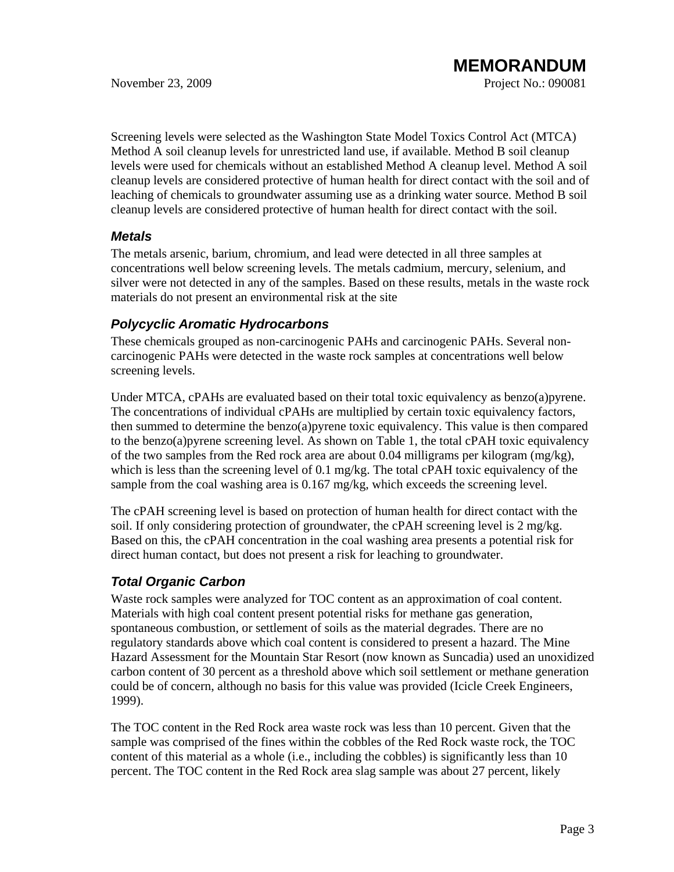Screening levels were selected as the Washington State Model Toxics Control Act (MTCA) Method A soil cleanup levels for unrestricted land use, if available. Method B soil cleanup levels were used for chemicals without an established Method A cleanup level. Method A soil cleanup levels are considered protective of human health for direct contact with the soil and of leaching of chemicals to groundwater assuming use as a drinking water source. Method B soil cleanup levels are considered protective of human health for direct contact with the soil.

### *Metals*

The metals arsenic, barium, chromium, and lead were detected in all three samples at concentrations well below screening levels. The metals cadmium, mercury, selenium, and silver were not detected in any of the samples. Based on these results, metals in the waste rock materials do not present an environmental risk at the site

### *Polycyclic Aromatic Hydrocarbons*

These chemicals grouped as non-carcinogenic PAHs and carcinogenic PAHs. Several noncarcinogenic PAHs were detected in the waste rock samples at concentrations well below screening levels.

Under MTCA, cPAHs are evaluated based on their total toxic equivalency as benzo(a)pyrene. The concentrations of individual cPAHs are multiplied by certain toxic equivalency factors, then summed to determine the benzo(a)pyrene toxic equivalency. This value is then compared to the benzo(a)pyrene screening level. As shown on Table 1, the total cPAH toxic equivalency of the two samples from the Red rock area are about  $0.04$  milligrams per kilogram (mg/kg), which is less than the screening level of 0.1 mg/kg. The total cPAH toxic equivalency of the sample from the coal washing area is 0.167 mg/kg, which exceeds the screening level.

The cPAH screening level is based on protection of human health for direct contact with the soil. If only considering protection of groundwater, the cPAH screening level is 2 mg/kg. Based on this, the cPAH concentration in the coal washing area presents a potential risk for direct human contact, but does not present a risk for leaching to groundwater.

### *Total Organic Carbon*

Waste rock samples were analyzed for TOC content as an approximation of coal content. Materials with high coal content present potential risks for methane gas generation, spontaneous combustion, or settlement of soils as the material degrades. There are no regulatory standards above which coal content is considered to present a hazard. The Mine Hazard Assessment for the Mountain Star Resort (now known as Suncadia) used an unoxidized carbon content of 30 percent as a threshold above which soil settlement or methane generation could be of concern, although no basis for this value was provided (Icicle Creek Engineers, 1999).

The TOC content in the Red Rock area waste rock was less than 10 percent. Given that the sample was comprised of the fines within the cobbles of the Red Rock waste rock, the TOC content of this material as a whole (i.e., including the cobbles) is significantly less than 10 percent. The TOC content in the Red Rock area slag sample was about 27 percent, likely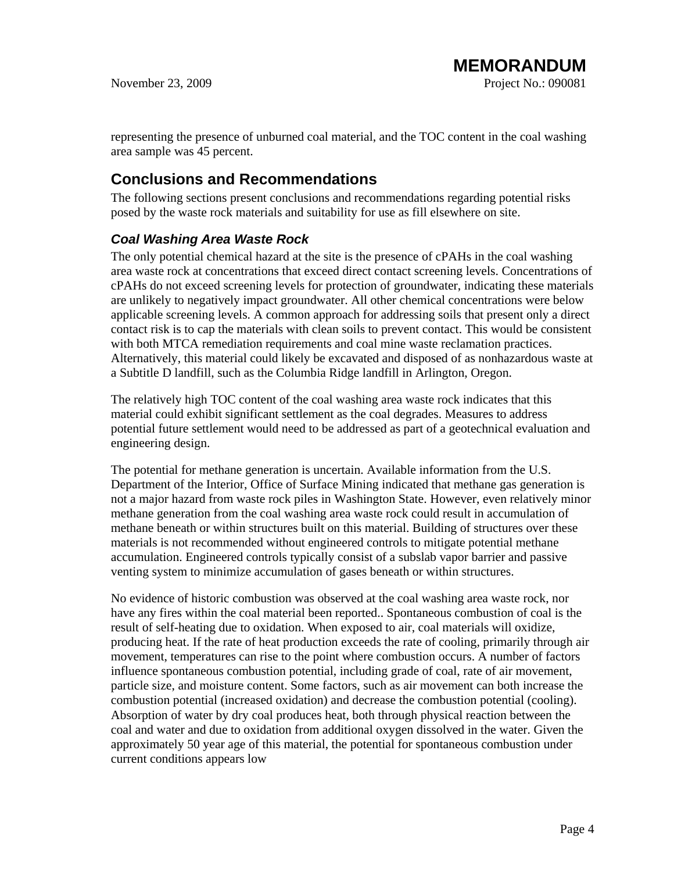representing the presence of unburned coal material, and the TOC content in the coal washing area sample was 45 percent.

## **Conclusions and Recommendations**

The following sections present conclusions and recommendations regarding potential risks posed by the waste rock materials and suitability for use as fill elsewhere on site.

### *Coal Washing Area Waste Rock*

The only potential chemical hazard at the site is the presence of cPAHs in the coal washing area waste rock at concentrations that exceed direct contact screening levels. Concentrations of cPAHs do not exceed screening levels for protection of groundwater, indicating these materials are unlikely to negatively impact groundwater. All other chemical concentrations were below applicable screening levels. A common approach for addressing soils that present only a direct contact risk is to cap the materials with clean soils to prevent contact. This would be consistent with both MTCA remediation requirements and coal mine waste reclamation practices. Alternatively, this material could likely be excavated and disposed of as nonhazardous waste at a Subtitle D landfill, such as the Columbia Ridge landfill in Arlington, Oregon.

The relatively high TOC content of the coal washing area waste rock indicates that this material could exhibit significant settlement as the coal degrades. Measures to address potential future settlement would need to be addressed as part of a geotechnical evaluation and engineering design.

The potential for methane generation is uncertain. Available information from the U.S. Department of the Interior, Office of Surface Mining indicated that methane gas generation is not a major hazard from waste rock piles in Washington State. However, even relatively minor methane generation from the coal washing area waste rock could result in accumulation of methane beneath or within structures built on this material. Building of structures over these materials is not recommended without engineered controls to mitigate potential methane accumulation. Engineered controls typically consist of a subslab vapor barrier and passive venting system to minimize accumulation of gases beneath or within structures.

No evidence of historic combustion was observed at the coal washing area waste rock, nor have any fires within the coal material been reported.. Spontaneous combustion of coal is the result of self-heating due to oxidation. When exposed to air, coal materials will oxidize, producing heat. If the rate of heat production exceeds the rate of cooling, primarily through air movement, temperatures can rise to the point where combustion occurs. A number of factors influence spontaneous combustion potential, including grade of coal, rate of air movement, particle size, and moisture content. Some factors, such as air movement can both increase the combustion potential (increased oxidation) and decrease the combustion potential (cooling). Absorption of water by dry coal produces heat, both through physical reaction between the coal and water and due to oxidation from additional oxygen dissolved in the water. Given the approximately 50 year age of this material, the potential for spontaneous combustion under current conditions appears low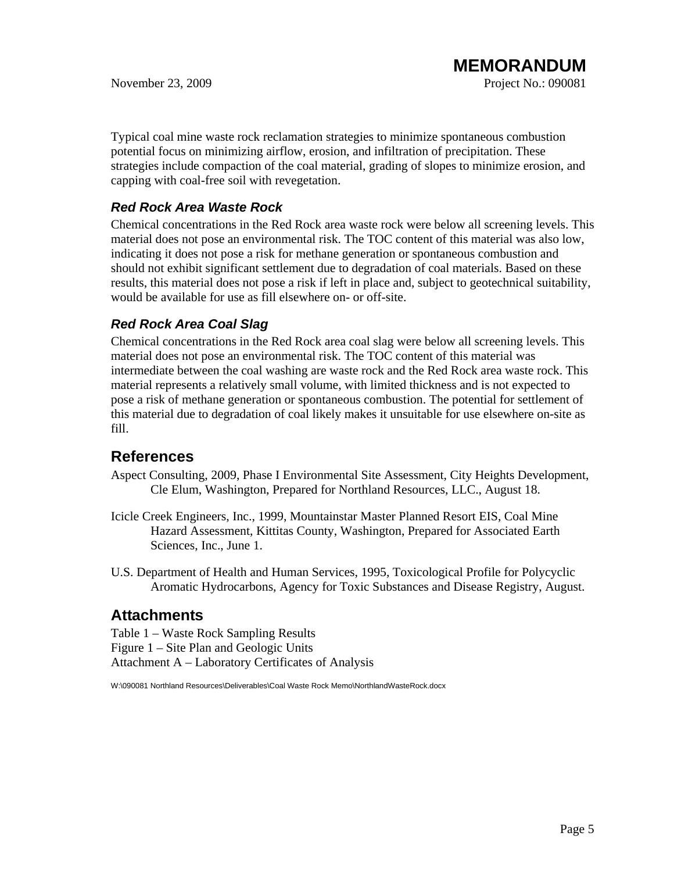Typical coal mine waste rock reclamation strategies to minimize spontaneous combustion potential focus on minimizing airflow, erosion, and infiltration of precipitation. These strategies include compaction of the coal material, grading of slopes to minimize erosion, and capping with coal-free soil with revegetation.

## *Red Rock Area Waste Rock*

Chemical concentrations in the Red Rock area waste rock were below all screening levels. This material does not pose an environmental risk. The TOC content of this material was also low, indicating it does not pose a risk for methane generation or spontaneous combustion and should not exhibit significant settlement due to degradation of coal materials. Based on these results, this material does not pose a risk if left in place and, subject to geotechnical suitability, would be available for use as fill elsewhere on- or off-site.

## *Red Rock Area Coal Slag*

Chemical concentrations in the Red Rock area coal slag were below all screening levels. This material does not pose an environmental risk. The TOC content of this material was intermediate between the coal washing are waste rock and the Red Rock area waste rock. This material represents a relatively small volume, with limited thickness and is not expected to pose a risk of methane generation or spontaneous combustion. The potential for settlement of this material due to degradation of coal likely makes it unsuitable for use elsewhere on-site as fill.

## **References**

- Aspect Consulting, 2009, Phase I Environmental Site Assessment, City Heights Development, Cle Elum, Washington, Prepared for Northland Resources, LLC., August 18.
- Icicle Creek Engineers, Inc., 1999, Mountainstar Master Planned Resort EIS, Coal Mine Hazard Assessment, Kittitas County, Washington, Prepared for Associated Earth Sciences, Inc., June 1.
- U.S. Department of Health and Human Services, 1995, Toxicological Profile for Polycyclic Aromatic Hydrocarbons, Agency for Toxic Substances and Disease Registry, August.

## **Attachments**

Table 1 – Waste Rock Sampling Results Figure 1 – Site Plan and Geologic Units Attachment A – Laboratory Certificates of Analysis

W:\090081 Northland Resources\Deliverables\Coal Waste Rock Memo\NorthlandWasteRock.docx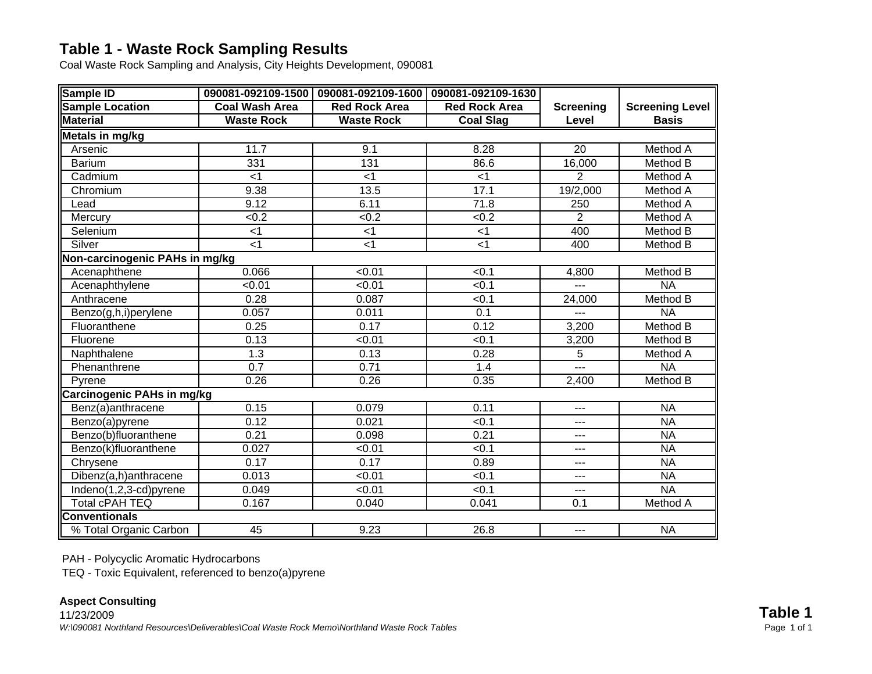# **Table 1 - Waste Rock Sampling Results**

Coal Waste Rock Sampling and Analysis, City Heights Development, 090081

| Sample ID                             |                   | 090081-092109-1500 090081-092109-1600 090081-092109-1630 |                      |                  |                        |
|---------------------------------------|-------------------|----------------------------------------------------------|----------------------|------------------|------------------------|
| <b>Sample Location</b>                | Coal Wash Area    | <b>Red Rock Area</b>                                     | <b>Red Rock Area</b> | <b>Screening</b> | <b>Screening Level</b> |
| <b>Material</b>                       | <b>Waste Rock</b> | <b>Waste Rock</b>                                        | <b>Coal Slag</b>     | Level            | <b>Basis</b>           |
| Metals in mg/kg                       |                   |                                                          |                      |                  |                        |
| Arsenic                               | 11.7              | 9.1                                                      | 8.28                 | $\overline{20}$  | Method A               |
| <b>Barium</b>                         | 331               | 131                                                      | 86.6                 | 16,000           | Method B               |
| Cadmium                               | $<$ 1             | < 1                                                      | $<$ 1                | $\overline{2}$   | Method A               |
| Chromium                              | 9.38              | 13.5                                                     | 17.1                 | 19/2,000         | <b>Method A</b>        |
| Lead                                  | 9.12              | 6.11                                                     | 71.8                 | 250              | <b>Method A</b>        |
| Mercury                               | < 0.2             | <0.2                                                     | < 0.2                | $\overline{2}$   | <b>Method A</b>        |
| Selenium                              | $<$ 1             | $<$ 1                                                    | $<$ 1                | 400              | Method B               |
| Silver                                | $<$ 1             | $<$ 1                                                    | $<$ 1                | 400              | Method B               |
| <b>Non-carcinogenic PAHs in mg/kg</b> |                   |                                                          |                      |                  |                        |
| Acenaphthene                          | 0.066             | < 0.01                                                   | < 0.1                | 4,800            | Method B               |
| Acenaphthylene                        | < 0.01            | < 0.01                                                   | < 0.1                |                  | <b>NA</b>              |
| Anthracene                            | 0.28              | 0.087                                                    | < 0.1                | 24,000           | Method B               |
| Benzo(g,h,i)perylene                  | 0.057             | 0.011                                                    | $\overline{0.1}$     | ---              | <b>NA</b>              |
| Fluoranthene                          | 0.25              | 0.17                                                     | 0.12                 | 3,200            | Method B               |
| Fluorene                              | 0.13              | < 0.01                                                   | < 0.1                | 3,200            | Method B               |
| Naphthalene                           | 1.3               | 0.13                                                     | 0.28                 | $\overline{5}$   | Method A               |
| Phenanthrene                          | $\overline{0.7}$  | 0.71                                                     | 1.4                  | ---              | <b>NA</b>              |
| Pyrene                                | 0.26              | 0.26                                                     | 0.35                 | 2,400            | Method B               |
| Carcinogenic PAHs in mg/kg            |                   |                                                          |                      |                  |                        |
| Benz(a)anthracene                     | 0.15              | 0.079                                                    | 0.11                 | ---              | <b>NA</b>              |
| Benzo(a)pyrene                        | 0.12              | 0.021                                                    | < 0.1                | ---              | <b>NA</b>              |
| Benzo(b)fluoranthene                  | 0.21              | 0.098                                                    | 0.21                 | ---              | <b>NA</b>              |
| Benzo(k)fluoranthene                  | 0.027             | < 0.01                                                   | < 0.1                | ---              | <b>NA</b>              |
| Chrysene                              | 0.17              | 0.17                                                     | 0.89                 | ---              | <b>NA</b>              |
| Dibenz(a,h)anthracene                 | 0.013             | < 0.01                                                   | < 0.1                | ---              | <b>NA</b>              |
| Indeno(1,2,3-cd)pyrene                | 0.049             | < 0.01                                                   | < 0.1                | ---              | <b>NA</b>              |
| Total cPAH TEQ                        | 0.167             | 0.040                                                    | 0.041                | 0.1              | Method A               |
| <b>Conventionals</b>                  |                   |                                                          |                      |                  |                        |
| % Total Organic Carbon                | 45                | 9.23                                                     | 26.8                 | ---              | <b>NA</b>              |

PAH - Polycyclic Aromatic Hydrocarbons

TEQ - Toxic Equivalent, referenced to benzo(a)pyrene

### **Aspect Consulting**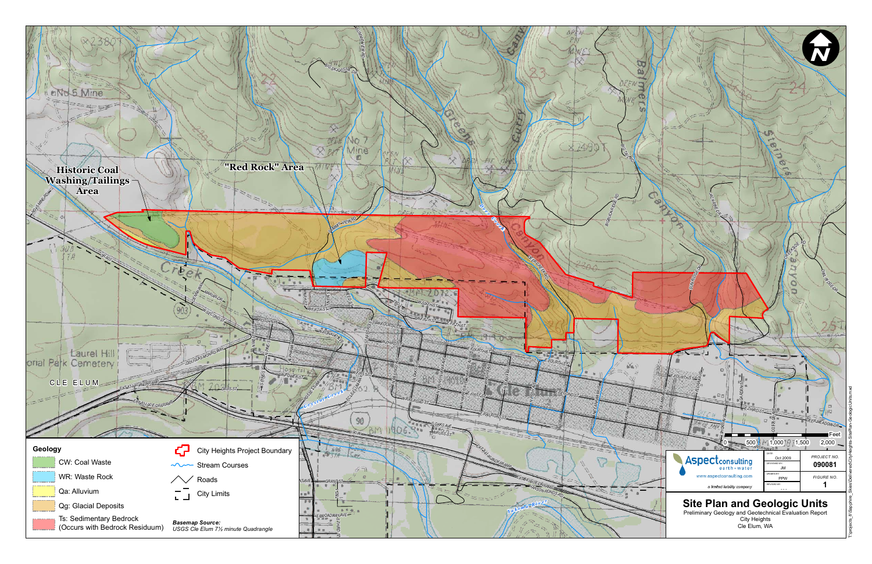

T:\projects\_8\Sapphire\_Skies\Delivered\CityHeights-SitePlan-GeologicUnits.mxd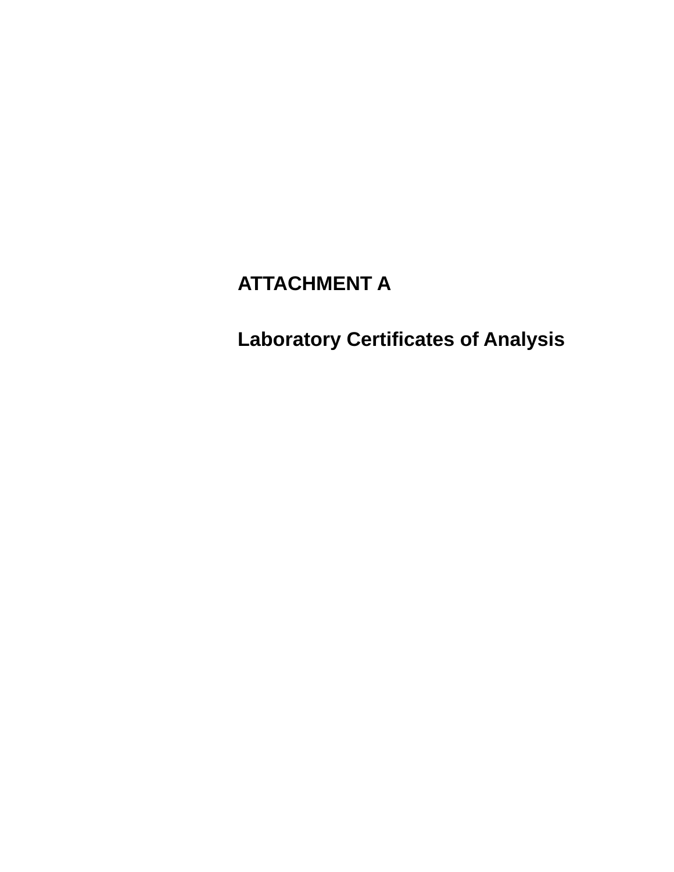# **ATTACHMENT A**

**Laboratory Certificates of Analysis**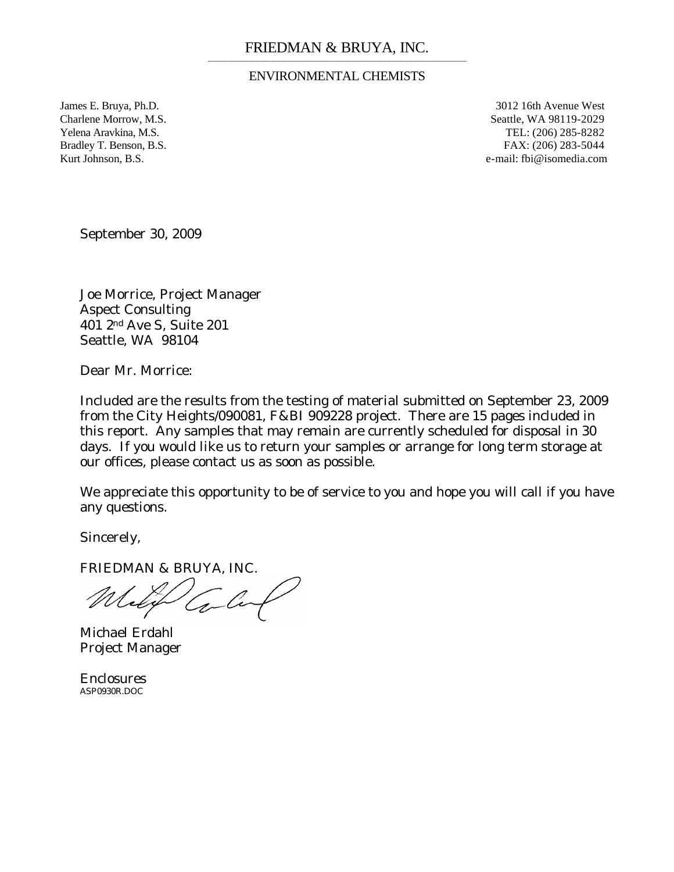### ENVIRONMENTAL CHEMISTS

James E. Bruya, Ph.D. 3012 16th Avenue West Charlene Morrow, M.S. Seattle, WA 98119-2029 Yelena Aravkina, M.S. TEL: (206) 285-8282 Bradley T. Benson, B.S. FAX: (206) 283-5044 Kurt Johnson, B.S. e-mail: fbi@isomedia.com

September 30, 2009

Joe Morrice, Project Manager Aspect Consulting 401 2nd Ave S, Suite 201 Seattle, WA 98104

Dear Mr. Morrice:

Included are the results from the testing of material submitted on September 23, 2009 from the City Heights/090081, F&BI 909228 project. There are 15 pages included in this report. Any samples that may remain are currently scheduled for disposal in 30 days. If you would like us to return your samples or arrange for long term storage at our offices, please contact us as soon as possible.

We appreciate this opportunity to be of service to you and hope you will call if you have any questions.

Sincerely,

FRIEDMAN & BRUYA, INC.

'Co-

Michael Erdahl Project Manager

**Enclosures** ASP0930R.DOC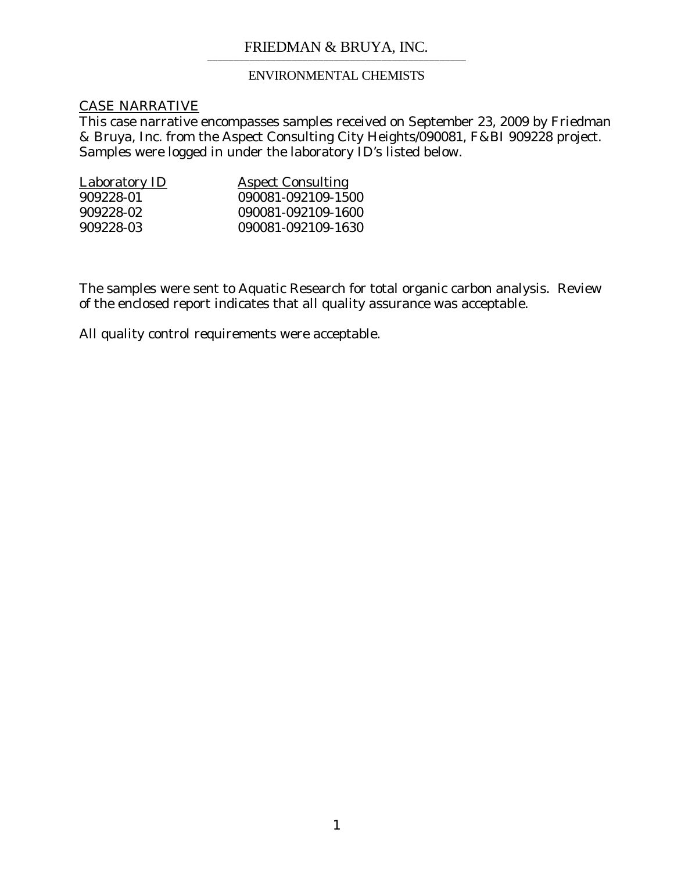### ENVIRONMENTAL CHEMISTS

### CASE NARRATIVE

This case narrative encompasses samples received on September 23, 2009 by Friedman & Bruya, Inc. from the Aspect Consulting City Heights/090081, F&BI 909228 project. Samples were logged in under the laboratory ID's listed below.

| <b>Laboratory ID</b> | <b>Aspect Consulting</b> |
|----------------------|--------------------------|
| 909228-01            | 090081-092109-1500       |
| 909228-02            | 090081-092109-1600       |
| 909228-03            | 090081-092109-1630       |

The samples were sent to Aquatic Research for total organic carbon analysis. Review of the enclosed report indicates that all quality assurance was acceptable.

All quality control requirements were acceptable.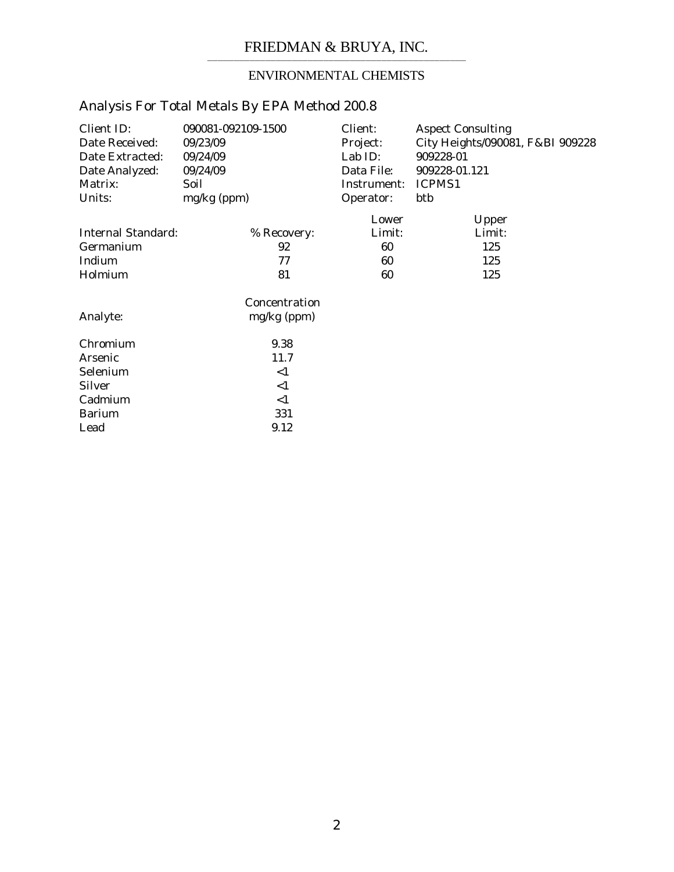# ENVIRONMENTAL CHEMISTS

| Client ID:<br>Date Received:<br>Date Extracted:<br>Date Analyzed:<br>Matrix:<br>Units: | 090081-092109-1500<br>09/23/09<br>09/24/09<br>09/24/09<br>Soil<br>mg/kg (ppm) | Client:<br>Project:<br>Lab ID:<br>Data File:<br>Instrument:<br>Operator: | <b>Aspect Consulting</b><br>City Heights/090081, F&BI 909228<br>909228-01<br>909228-01.121<br>ICPMS1<br>btb |
|----------------------------------------------------------------------------------------|-------------------------------------------------------------------------------|--------------------------------------------------------------------------|-------------------------------------------------------------------------------------------------------------|
|                                                                                        |                                                                               | Lower                                                                    | Upper                                                                                                       |
| <b>Internal Standard:</b>                                                              | % Recovery:                                                                   | Limit:                                                                   | Limit:                                                                                                      |
| Germanium                                                                              | 92                                                                            | 60                                                                       | 125                                                                                                         |
| Indium                                                                                 | 77                                                                            | 60                                                                       | 125                                                                                                         |
| Holmium                                                                                | 81                                                                            | 60                                                                       | 125                                                                                                         |
|                                                                                        | Concentration                                                                 |                                                                          |                                                                                                             |
| Analyte:                                                                               | $mg/kg$ (ppm)                                                                 |                                                                          |                                                                                                             |
| Chromium                                                                               | 9.38                                                                          |                                                                          |                                                                                                             |
| Arsenic                                                                                | 11.7                                                                          |                                                                          |                                                                                                             |
| Selenium                                                                               | <1                                                                            |                                                                          |                                                                                                             |
| <b>Silver</b>                                                                          | <1                                                                            |                                                                          |                                                                                                             |
| Cadmium                                                                                | $\leq$ 1                                                                      |                                                                          |                                                                                                             |
| <b>Barium</b>                                                                          | 331                                                                           |                                                                          |                                                                                                             |
| Lead                                                                                   | 9.12                                                                          |                                                                          |                                                                                                             |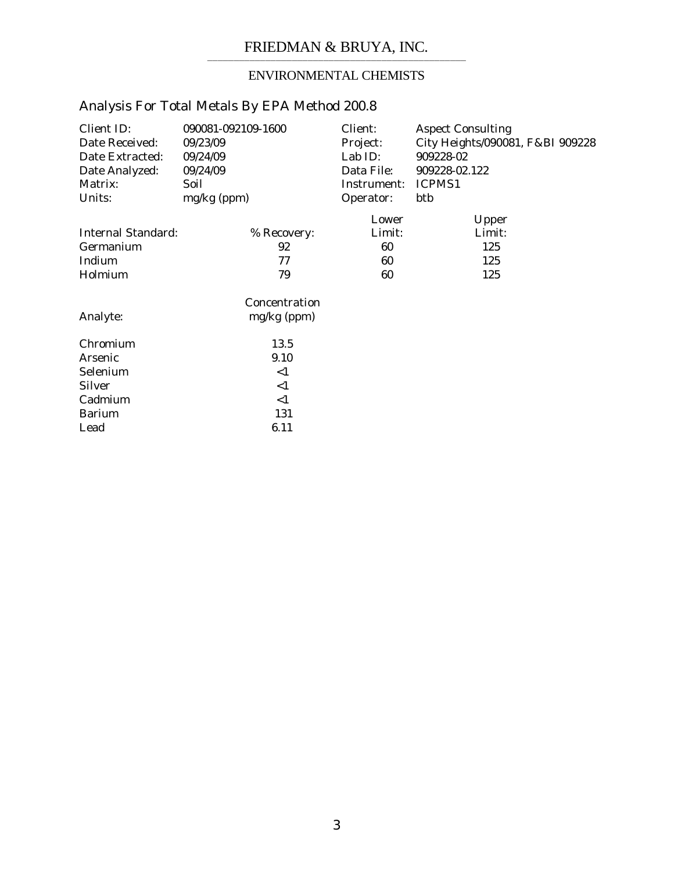# ENVIRONMENTAL CHEMISTS

| Client ID:<br>Date Received:<br>Date Extracted:<br>Date Analyzed:<br>Matrix:<br>Units: | 090081-092109-1600<br>09/23/09<br>09/24/09<br>09/24/09<br>Soil<br>mg/kg (ppm) | Client:<br>Project:<br>Lab ID:<br>Data File:<br>Instrument:<br>Operator: | <b>Aspect Consulting</b><br>City Heights/090081, F&BI 909228<br>909228-02<br>909228-02.122<br>ICPMS1<br>btb |
|----------------------------------------------------------------------------------------|-------------------------------------------------------------------------------|--------------------------------------------------------------------------|-------------------------------------------------------------------------------------------------------------|
|                                                                                        |                                                                               |                                                                          |                                                                                                             |
|                                                                                        |                                                                               | Lower                                                                    | Upper                                                                                                       |
| Internal Standard:                                                                     | % Recovery:                                                                   | Limit:                                                                   | Limit:                                                                                                      |
| Germanium                                                                              | 92                                                                            | 60                                                                       | 125                                                                                                         |
| Indium                                                                                 | 77                                                                            | 60                                                                       | 125                                                                                                         |
| Holmium                                                                                | 79                                                                            | 60                                                                       | 125                                                                                                         |
|                                                                                        | Concentration                                                                 |                                                                          |                                                                                                             |
| Analyte:                                                                               | mg/kg (ppm)                                                                   |                                                                          |                                                                                                             |
| Chromium                                                                               | 13.5                                                                          |                                                                          |                                                                                                             |
| Arsenic                                                                                | 9.10                                                                          |                                                                          |                                                                                                             |
| Selenium                                                                               | $<$ 1                                                                         |                                                                          |                                                                                                             |
| <b>Silver</b>                                                                          | <1                                                                            |                                                                          |                                                                                                             |
| Cadmium                                                                                | $\leq$ 1                                                                      |                                                                          |                                                                                                             |
| <b>Barium</b>                                                                          | 131                                                                           |                                                                          |                                                                                                             |
| Lead                                                                                   | 6.11                                                                          |                                                                          |                                                                                                             |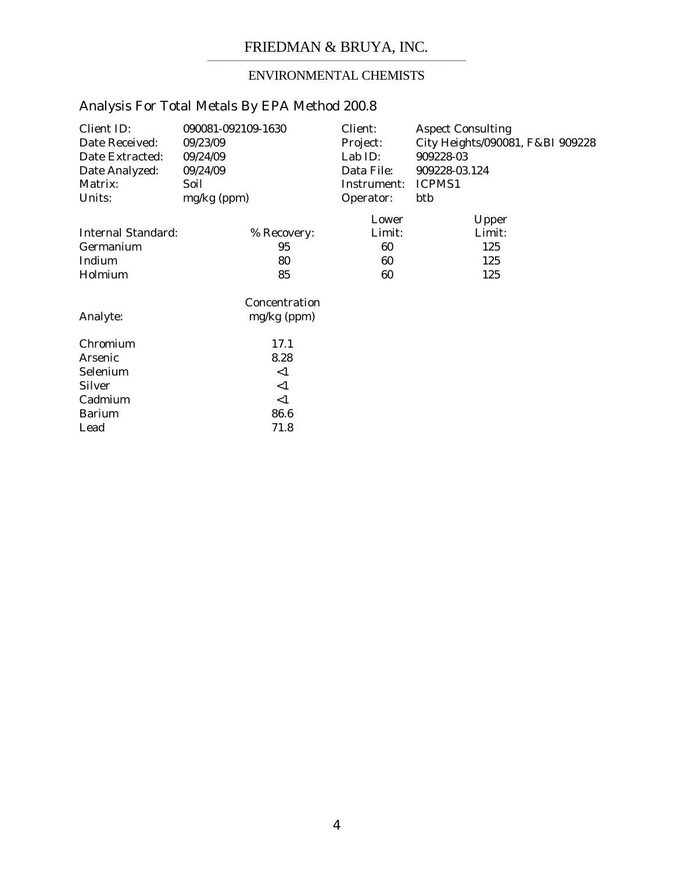# ENVIRONMENTAL CHEMISTS

| Client ID:<br>Date Received:<br>Date Extracted:<br>Date Analyzed:<br>Matrix:<br>Units: | 090081-092109-1630<br>09/23/09<br>09/24/09<br>09/24/09<br>Soil<br>mg/kg (ppm) | Client:<br>Project:<br>Lab ID:<br>Data File:<br>Instrument:<br>Operator: | <b>Aspect Consulting</b><br>City Heights/090081, F&BI 909228<br>909228-03<br>909228-03.124<br>ICPMS1<br>btb |
|----------------------------------------------------------------------------------------|-------------------------------------------------------------------------------|--------------------------------------------------------------------------|-------------------------------------------------------------------------------------------------------------|
|                                                                                        |                                                                               | Lower                                                                    |                                                                                                             |
| Internal Standard:                                                                     |                                                                               | Limit:                                                                   | Upper<br>Limit:                                                                                             |
|                                                                                        | % Recovery:                                                                   |                                                                          |                                                                                                             |
| Germanium                                                                              | 95                                                                            | 60                                                                       | 125                                                                                                         |
| Indium                                                                                 | 80                                                                            | 60                                                                       | 125                                                                                                         |
| Holmium                                                                                | 85                                                                            | 60                                                                       | 125                                                                                                         |
|                                                                                        | Concentration                                                                 |                                                                          |                                                                                                             |
| Analyte:                                                                               | $mg/kg$ (ppm)                                                                 |                                                                          |                                                                                                             |
| Chromium                                                                               | 17.1                                                                          |                                                                          |                                                                                                             |
| Arsenic                                                                                | 8.28                                                                          |                                                                          |                                                                                                             |
| Selenium                                                                               | <1                                                                            |                                                                          |                                                                                                             |
| <b>Silver</b>                                                                          | <1                                                                            |                                                                          |                                                                                                             |
| Cadmium                                                                                | $\leq$ 1                                                                      |                                                                          |                                                                                                             |
| <b>Barium</b>                                                                          | 86.6                                                                          |                                                                          |                                                                                                             |
| Lead                                                                                   | 71.8                                                                          |                                                                          |                                                                                                             |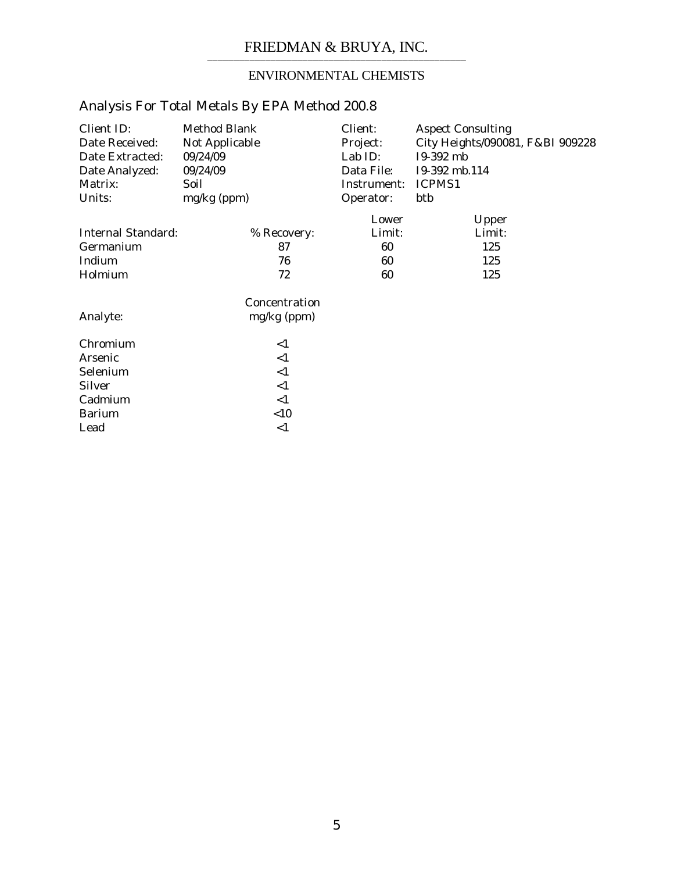# ENVIRONMENTAL CHEMISTS

| Client ID:<br>Date Received:<br>Date Extracted:<br>Date Analyzed:<br>Matrix:<br>Units: | <b>Method Blank</b><br>Not Applicable<br>09/24/09<br>09/24/09<br>Soil<br>mg/kg (ppm) |               | Client:<br>Project:<br>Lab ID:<br>Data File:<br>Instrument:<br>Operator: | <b>Aspect Consulting</b><br>City Heights/090081, F&BI 909228<br>I9-392 mb<br>I9-392 mb.114<br>ICPMS1<br>btb |
|----------------------------------------------------------------------------------------|--------------------------------------------------------------------------------------|---------------|--------------------------------------------------------------------------|-------------------------------------------------------------------------------------------------------------|
|                                                                                        |                                                                                      |               | Lower                                                                    | Upper                                                                                                       |
| <b>Internal Standard:</b>                                                              |                                                                                      | % Recovery:   | Limit:                                                                   | Limit:                                                                                                      |
| Germanium                                                                              |                                                                                      | 87            | 60                                                                       | 125                                                                                                         |
| Indium                                                                                 |                                                                                      | 76            | 60                                                                       | 125                                                                                                         |
| Holmium                                                                                |                                                                                      | 72            | 60                                                                       | 125                                                                                                         |
|                                                                                        |                                                                                      | Concentration |                                                                          |                                                                                                             |
| Analyte:                                                                               |                                                                                      | $mg/kg$ (ppm) |                                                                          |                                                                                                             |
| Chromium                                                                               |                                                                                      | $\leq$ 1      |                                                                          |                                                                                                             |
| Arsenic                                                                                |                                                                                      | $<$ 1         |                                                                          |                                                                                                             |
| Selenium                                                                               |                                                                                      | $<$ 1         |                                                                          |                                                                                                             |
| <b>Silver</b>                                                                          |                                                                                      | $<$ 1         |                                                                          |                                                                                                             |
| Cadmium                                                                                |                                                                                      | $\leq$ 1      |                                                                          |                                                                                                             |
| <b>Barium</b>                                                                          |                                                                                      | < 10          |                                                                          |                                                                                                             |
| Lead                                                                                   |                                                                                      | <1            |                                                                          |                                                                                                             |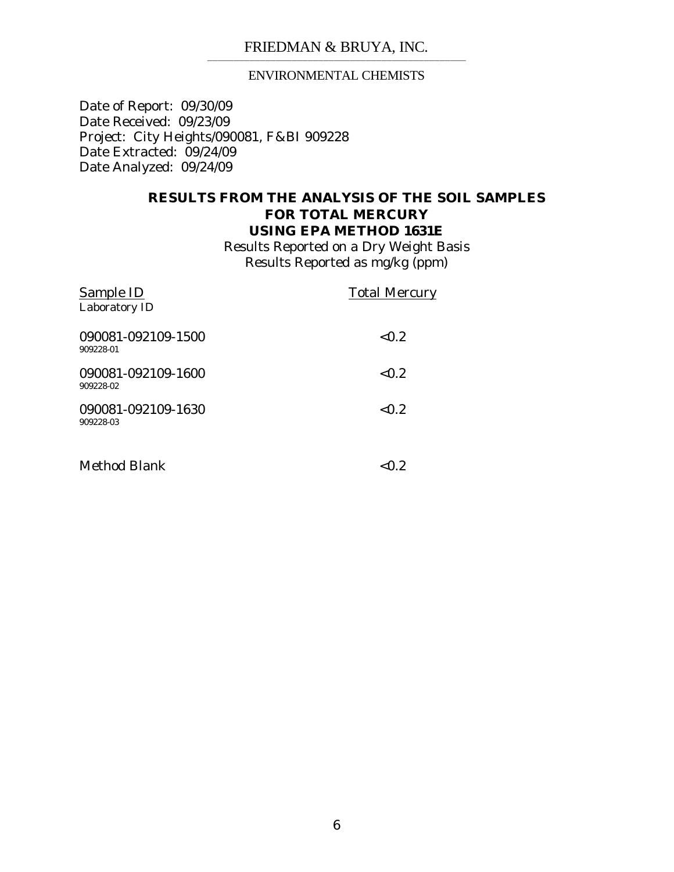### ENVIRONMENTAL CHEMISTS

Date of Report: 09/30/09 Date Received: 09/23/09 Project: City Heights/090081, F&BI 909228 Date Extracted: 09/24/09 Date Analyzed: 09/24/09

### **RESULTS FROM THE ANALYSIS OF THE SOIL SAMPLES FOR TOTAL MERCURY USING EPA METHOD 1631E**

Results Reported on a Dry Weight Basis Results Reported as mg/kg (ppm)

| <b>Sample ID</b><br>Laboratory ID | <b>Total Mercury</b> |
|-----------------------------------|----------------------|
| 090081-092109-1500<br>909228-01   | < 0.2                |
| 090081-092109-1600<br>909228-02   | < 0.2                |
| 090081-092109-1630<br>909228-03   | < 0.2                |
| <b>Method Blank</b>               | ${<}0.2$             |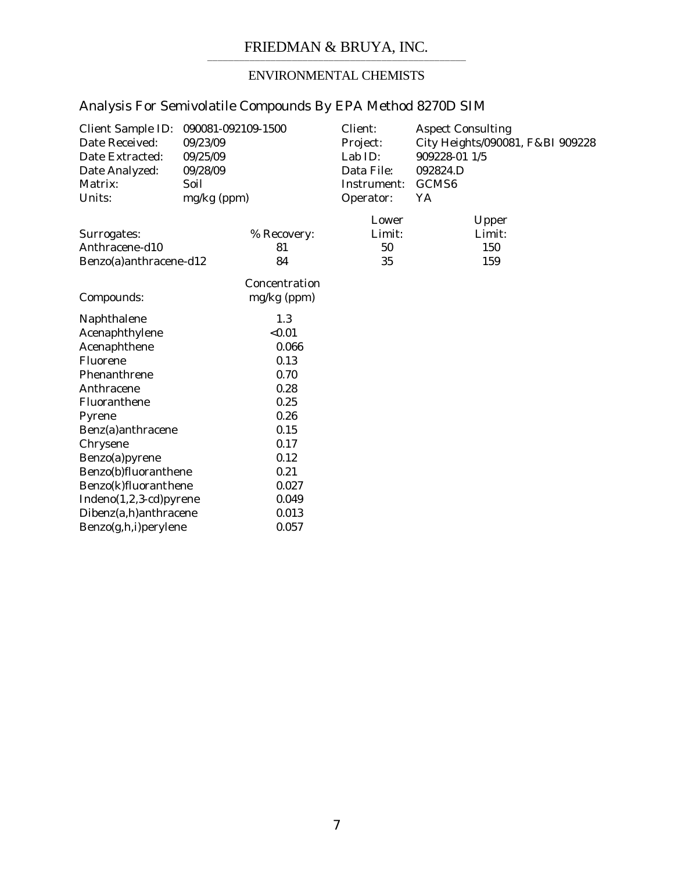## ENVIRONMENTAL CHEMISTS

| Client Sample ID:<br>Date Received:<br>Date Extracted:<br>Date Analyzed:<br>Matrix:<br>Units: | 090081-092109-1500<br>09/23/09<br>09/25/09<br>09/28/09<br>Soil<br>mg/kg (ppm) |               | Client:<br>Project:<br>Lab ID:<br>Data File:<br>Instrument:<br>Operator: | <b>Aspect Consulting</b><br>City Heights/090081, F&BI 909228<br>909228-01 1/5<br>092824.D<br>GCMS6<br>YA |
|-----------------------------------------------------------------------------------------------|-------------------------------------------------------------------------------|---------------|--------------------------------------------------------------------------|----------------------------------------------------------------------------------------------------------|
|                                                                                               |                                                                               |               | Lower                                                                    | Upper                                                                                                    |
| Surrogates:                                                                                   |                                                                               | % Recovery:   | Limit:                                                                   | Limit:                                                                                                   |
| Anthracene-d10                                                                                |                                                                               | 81            | 50                                                                       | 150                                                                                                      |
| Benzo(a)anthracene-d12                                                                        |                                                                               | 84            | 35                                                                       | 159                                                                                                      |
|                                                                                               |                                                                               | Concentration |                                                                          |                                                                                                          |
| Compounds:                                                                                    |                                                                               | mg/kg (ppm)   |                                                                          |                                                                                                          |
| Naphthalene                                                                                   |                                                                               | 1.3           |                                                                          |                                                                                                          |
| Acenaphthylene                                                                                |                                                                               | < 0.01        |                                                                          |                                                                                                          |
| Acenaphthene                                                                                  |                                                                               | 0.066         |                                                                          |                                                                                                          |
| Fluorene                                                                                      |                                                                               | 0.13          |                                                                          |                                                                                                          |
| Phenanthrene                                                                                  |                                                                               | 0.70          |                                                                          |                                                                                                          |
| Anthracene                                                                                    |                                                                               | 0.28          |                                                                          |                                                                                                          |
| Fluoranthene                                                                                  |                                                                               | 0.25          |                                                                          |                                                                                                          |
| Pyrene                                                                                        |                                                                               | 0.26          |                                                                          |                                                                                                          |
| Benz(a)anthracene                                                                             |                                                                               | 0.15          |                                                                          |                                                                                                          |
| Chrysene                                                                                      |                                                                               | 0.17          |                                                                          |                                                                                                          |
| Benzo(a)pyrene                                                                                |                                                                               | 0.12          |                                                                          |                                                                                                          |
| Benzo(b)fluoranthene                                                                          |                                                                               | 0.21          |                                                                          |                                                                                                          |
| Benzo(k)fluoranthene                                                                          |                                                                               | 0.027         |                                                                          |                                                                                                          |
| Indeno(1,2,3-cd)pyrene                                                                        |                                                                               | 0.049         |                                                                          |                                                                                                          |
| Dibenz(a,h)anthracene                                                                         |                                                                               | 0.013         |                                                                          |                                                                                                          |
| Benzo(g,h,i)perylene                                                                          |                                                                               | 0.057         |                                                                          |                                                                                                          |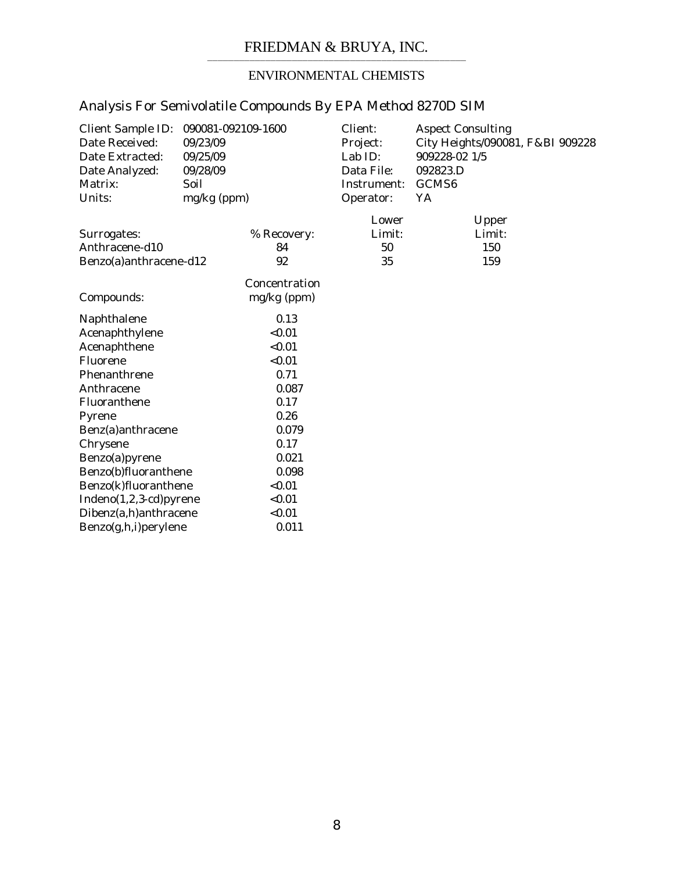# ENVIRONMENTAL CHEMISTS

| <b>Client Sample ID:</b><br>Date Received:<br>Date Extracted:<br>Date Analyzed:<br>Matrix:<br>Units: | 090081-092109-1600<br>09/23/09<br>09/25/09<br>09/28/09<br>Soil<br>mg/kg (ppm) |                              | Client:<br>Project:<br>Lab ID:<br>Data File:<br>Instrument:<br>Operator: | <b>Aspect Consulting</b><br>City Heights/090081, F&BI 909228<br>909228-02 1/5<br>092823.D<br>GCMS <sub>6</sub><br>YA |
|------------------------------------------------------------------------------------------------------|-------------------------------------------------------------------------------|------------------------------|--------------------------------------------------------------------------|----------------------------------------------------------------------------------------------------------------------|
|                                                                                                      |                                                                               |                              |                                                                          |                                                                                                                      |
| Surrogates:<br>Anthracene-d10<br>Benzo(a)anthracene-d12                                              |                                                                               | % Recovery:<br>84<br>92      | Lower<br>Limit:<br>50<br>35                                              | Upper<br>Limit:<br>150<br>159                                                                                        |
| Compounds:                                                                                           |                                                                               | Concentration<br>mg/kg (ppm) |                                                                          |                                                                                                                      |
| Naphthalene                                                                                          |                                                                               | 0.13                         |                                                                          |                                                                                                                      |
| Acenaphthylene                                                                                       |                                                                               | < 0.01                       |                                                                          |                                                                                                                      |
| Acenaphthene                                                                                         |                                                                               | < 0.01                       |                                                                          |                                                                                                                      |
| Fluorene                                                                                             |                                                                               | < 0.01                       |                                                                          |                                                                                                                      |
| Phenanthrene                                                                                         |                                                                               | 0.71                         |                                                                          |                                                                                                                      |
| Anthracene                                                                                           |                                                                               | 0.087                        |                                                                          |                                                                                                                      |
| Fluoranthene                                                                                         |                                                                               | 0.17                         |                                                                          |                                                                                                                      |
| Pyrene                                                                                               |                                                                               | 0.26                         |                                                                          |                                                                                                                      |
| Benz(a)anthracene                                                                                    |                                                                               | 0.079                        |                                                                          |                                                                                                                      |
| Chrysene                                                                                             |                                                                               | 0.17                         |                                                                          |                                                                                                                      |
| Benzo(a)pyrene                                                                                       |                                                                               | 0.021                        |                                                                          |                                                                                                                      |
| Benzo(b)fluoranthene                                                                                 |                                                                               | 0.098                        |                                                                          |                                                                                                                      |
| Benzo(k)fluoranthene                                                                                 |                                                                               | < 0.01                       |                                                                          |                                                                                                                      |
| Indeno(1,2,3-cd)pyrene                                                                               |                                                                               | < 0.01                       |                                                                          |                                                                                                                      |
| Dibenz(a,h)anthracene                                                                                |                                                                               | < 0.01                       |                                                                          |                                                                                                                      |
| Benzo(g,h,i) perylene                                                                                |                                                                               | 0.011                        |                                                                          |                                                                                                                      |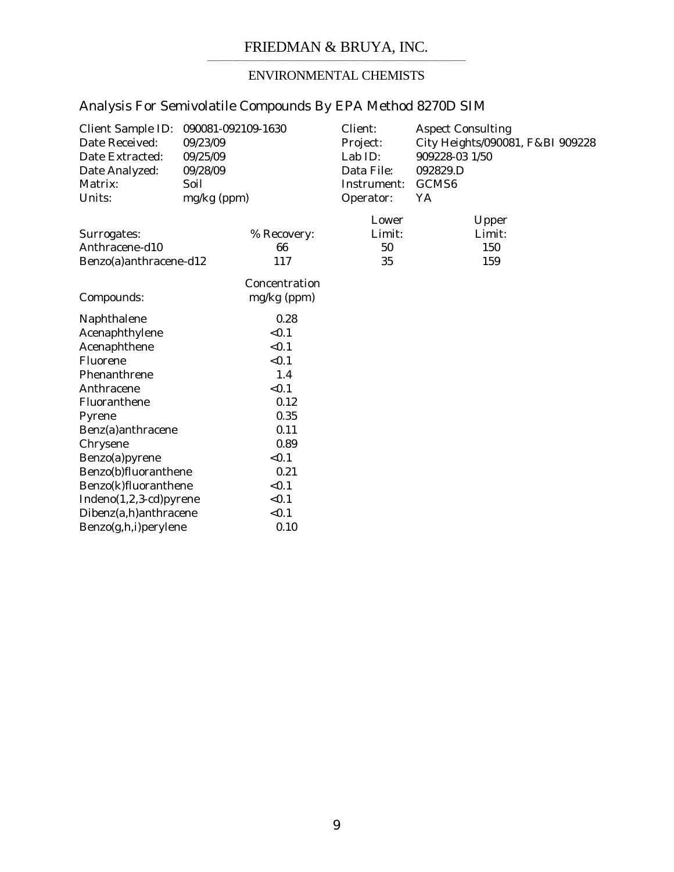# ENVIRONMENTAL CHEMISTS

| Client Sample ID:<br>Date Received:<br>Date Extracted:<br>Date Analyzed:<br>Matrix:<br>Units: | 090081-092109-1630<br>09/23/09<br>09/25/09<br>09/28/09<br>Soil<br>mg/kg (ppm) |                              | Client:<br>Project:<br>Lab ID:<br>Data File:<br>Instrument:<br>Operator: | <b>Aspect Consulting</b><br>City Heights/090081, F&BI 909228<br>909228-03 1/50<br>092829.D<br>GCMS <sub>6</sub><br>YA |
|-----------------------------------------------------------------------------------------------|-------------------------------------------------------------------------------|------------------------------|--------------------------------------------------------------------------|-----------------------------------------------------------------------------------------------------------------------|
| Surrogates:                                                                                   |                                                                               | % Recovery:                  | Lower<br>Limit:                                                          | Upper<br>Limit:                                                                                                       |
| Anthracene-d10                                                                                |                                                                               | 66                           | 50                                                                       | 150                                                                                                                   |
| Benzo(a)anthracene-d12                                                                        |                                                                               | 117                          | 35                                                                       | 159                                                                                                                   |
| Compounds:                                                                                    |                                                                               | Concentration<br>mg/kg (ppm) |                                                                          |                                                                                                                       |
| Naphthalene                                                                                   |                                                                               | 0.28                         |                                                                          |                                                                                                                       |
| Acenaphthylene                                                                                |                                                                               | < 0.1                        |                                                                          |                                                                                                                       |
| Acenaphthene                                                                                  |                                                                               | < 0.1                        |                                                                          |                                                                                                                       |
| Fluorene                                                                                      |                                                                               | < 0.1                        |                                                                          |                                                                                                                       |
| Phenanthrene                                                                                  |                                                                               | 1.4                          |                                                                          |                                                                                                                       |
| Anthracene                                                                                    |                                                                               | < 0.1                        |                                                                          |                                                                                                                       |
| Fluoranthene                                                                                  |                                                                               | 0.12                         |                                                                          |                                                                                                                       |
| Pyrene                                                                                        |                                                                               | 0.35                         |                                                                          |                                                                                                                       |
| Benz(a)anthracene                                                                             |                                                                               | 0.11                         |                                                                          |                                                                                                                       |
| Chrysene                                                                                      |                                                                               | 0.89                         |                                                                          |                                                                                                                       |
| Benzo(a)pyrene                                                                                |                                                                               | < 0.1                        |                                                                          |                                                                                                                       |
| Benzo(b)fluoranthene                                                                          |                                                                               | 0.21                         |                                                                          |                                                                                                                       |
| Benzo(k)fluoranthene                                                                          |                                                                               | < 0.1                        |                                                                          |                                                                                                                       |
| Indeno(1,2,3-cd)pyrene                                                                        |                                                                               | < 0.1                        |                                                                          |                                                                                                                       |
| Dibenz(a,h)anthracene                                                                         |                                                                               | < 0.1                        |                                                                          |                                                                                                                       |
| Benzo(g,h,i)perylene                                                                          |                                                                               | 0.10                         |                                                                          |                                                                                                                       |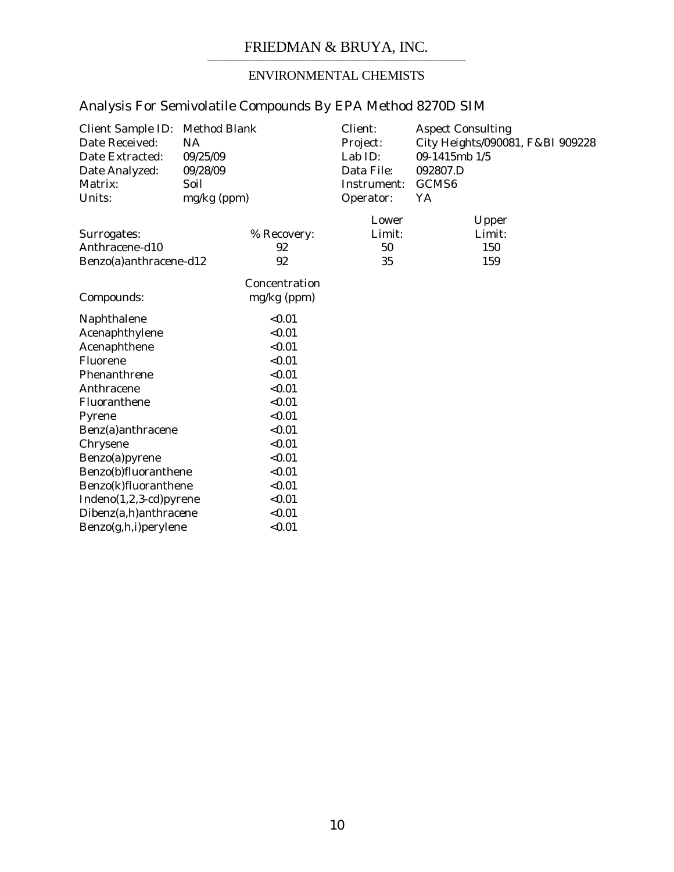## ENVIRONMENTAL CHEMISTS

| <b>Client Sample ID:</b><br>Date Received:<br>Date Extracted:<br>Date Analyzed:<br>Matrix:<br>Units: | <b>Method Blank</b><br>NA<br>09/25/09<br>09/28/09<br>Soil<br>mg/kg (ppm) |               | Client:<br>Project:<br>Lab ID:<br>Data File:<br>Instrument:<br>Operator: | <b>Aspect Consulting</b><br>City Heights/090081, F&BI 909228<br>09-1415mb 1/5<br>092807.D<br>GCMS <sub>6</sub><br>YA |
|------------------------------------------------------------------------------------------------------|--------------------------------------------------------------------------|---------------|--------------------------------------------------------------------------|----------------------------------------------------------------------------------------------------------------------|
|                                                                                                      |                                                                          |               | Lower                                                                    | Upper                                                                                                                |
| Surrogates:                                                                                          |                                                                          | % Recovery:   | Limit:                                                                   | Limit:                                                                                                               |
| Anthracene-d10                                                                                       |                                                                          | 92            | 50                                                                       | 150                                                                                                                  |
| Benzo(a)anthracene-d12                                                                               |                                                                          | 92            | 35                                                                       | 159                                                                                                                  |
|                                                                                                      |                                                                          | Concentration |                                                                          |                                                                                                                      |
| Compounds:                                                                                           |                                                                          | mg/kg (ppm)   |                                                                          |                                                                                                                      |
| Naphthalene                                                                                          |                                                                          | < 0.01        |                                                                          |                                                                                                                      |
| Acenaphthylene                                                                                       |                                                                          | < 0.01        |                                                                          |                                                                                                                      |
| Acenaphthene                                                                                         |                                                                          | < 0.01        |                                                                          |                                                                                                                      |
| Fluorene                                                                                             |                                                                          | < 0.01        |                                                                          |                                                                                                                      |
| Phenanthrene                                                                                         |                                                                          | < 0.01        |                                                                          |                                                                                                                      |
| Anthracene                                                                                           |                                                                          | < 0.01        |                                                                          |                                                                                                                      |
| Fluoranthene                                                                                         |                                                                          | < 0.01        |                                                                          |                                                                                                                      |
| Pyrene                                                                                               |                                                                          | < 0.01        |                                                                          |                                                                                                                      |
| Benz(a)anthracene                                                                                    |                                                                          | < 0.01        |                                                                          |                                                                                                                      |
| Chrysene                                                                                             |                                                                          | < 0.01        |                                                                          |                                                                                                                      |
| Benzo(a)pyrene                                                                                       |                                                                          | < 0.01        |                                                                          |                                                                                                                      |
| Benzo(b)fluoranthene                                                                                 |                                                                          | < 0.01        |                                                                          |                                                                                                                      |
| Benzo(k)fluoranthene                                                                                 |                                                                          | < 0.01        |                                                                          |                                                                                                                      |
| Indeno(1,2,3-cd)pyrene                                                                               |                                                                          | < 0.01        |                                                                          |                                                                                                                      |
| Dibenz(a,h)anthracene                                                                                |                                                                          | < 0.01        |                                                                          |                                                                                                                      |
| Benzo(g,h,i)perylene                                                                                 |                                                                          | < 0.01        |                                                                          |                                                                                                                      |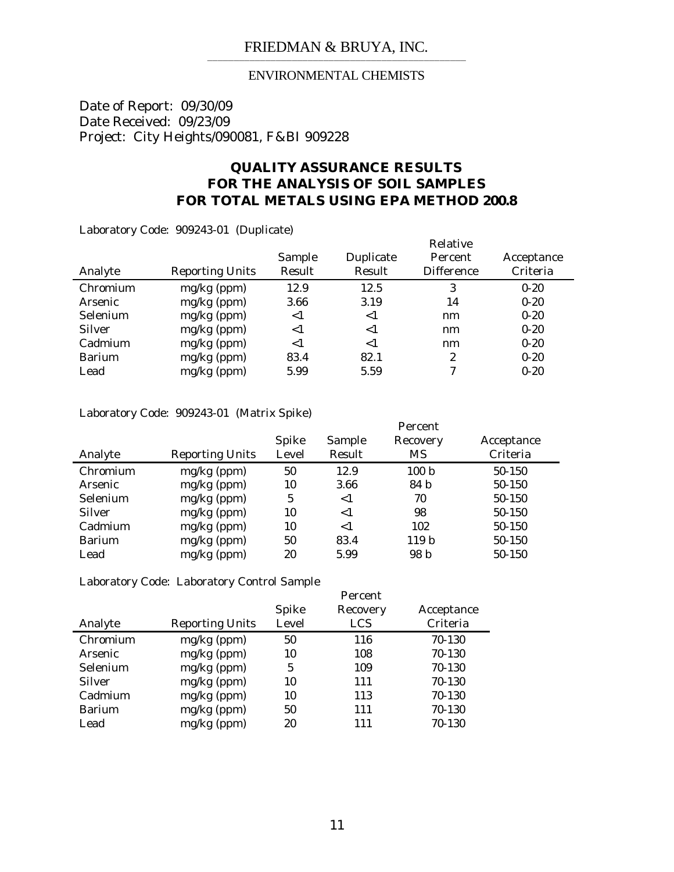### ENVIRONMENTAL CHEMISTS

Date of Report: 09/30/09 Date Received: 09/23/09 Project: City Heights/090081, F&BI 909228

### **QUALITY ASSURANCE RESULTS FOR THE ANALYSIS OF SOIL SAMPLES FOR TOTAL METALS USING EPA METHOD 200.8**

Laboratory Code: 909243-01 (Duplicate)

|               |                        |        | Relative  |                   |            |  |
|---------------|------------------------|--------|-----------|-------------------|------------|--|
|               |                        | Sample | Duplicate | Percent           | Acceptance |  |
| Analyte       | <b>Reporting Units</b> | Result | Result    | <b>Difference</b> | Criteria   |  |
| Chromium      | $mg/kg$ (ppm)          | 12.9   | 12.5      | 3                 | $0 - 20$   |  |
| Arsenic       | $mg/kg$ (ppm)          | 3.66   | 3.19      | 14                | $0 - 20$   |  |
| Selenium      | $mg/kg$ (ppm)          | $<$ 1  | $<$ 1     | nm                | $0 - 20$   |  |
| Silver        | $mg/kg$ (ppm)          | $<$ 1  | ${<}1$    | nm                | $0 - 20$   |  |
| Cadmium       | $mg/kg$ (ppm)          | $<$ 1  | $<$ 1     | nm                | $0 - 20$   |  |
| <b>Barium</b> | mg/kg (ppm)            | 83.4   | 82.1      | 2                 | $0 - 20$   |  |
| Lead          | $mg/kg$ (ppm)          | 5.99   | 5.59      | 7                 | $0 - 20$   |  |

Laboratory Code: 909243-01 (Matrix Spike)

|               |                        |            |        | Percent          |            |
|---------------|------------------------|------------|--------|------------------|------------|
|               |                        | Spike      | Sample | Recovery         | Acceptance |
| Analyte       | <b>Reporting Units</b> | Level      | Result | MS               | Criteria   |
| Chromium      | $mg/kg$ (ppm)          | 50         | 12.9   | 100 <sub>b</sub> | 50-150     |
| Arsenic       | $mg/kg$ (ppm)          | 10         | 3.66   | 84 b             | 50-150     |
| Selenium      | $mg/kg$ (ppm)          | $\sqrt{5}$ | $<$ 1  | 70               | 50-150     |
| <b>Silver</b> | $mg/kg$ (ppm)          | 10         | $<$ 1  | 98               | 50-150     |
| Cadmium       | $mg/kg$ (ppm)          | 10         | ${<}1$ | 102              | 50-150     |
| Barium        | $mg/kg$ (ppm)          | 50         | 83.4   | 119 <sub>b</sub> | 50-150     |
| Lead          | $mg/kg$ (ppm)          | 20         | 5.99   | 98 b             | 50-150     |

Laboratory Code: Laboratory Control Sample

|               |                        | Spike | Percent<br>Recovery | Acceptance |
|---------------|------------------------|-------|---------------------|------------|
| Analyte       | <b>Reporting Units</b> | Level | LCS                 | Criteria   |
| Chromium      | $mg/kg$ (ppm)          | 50    | 116                 | 70-130     |
| Arsenic       | $mg/kg$ (ppm)          | 10    | 108                 | 70-130     |
| Selenium      | mg/kg (ppm)            | 5     | 109                 | 70-130     |
| <b>Silver</b> | $mg/kg$ (ppm)          | 10    | 111                 | 70-130     |
| Cadmium       | $mg/kg$ (ppm)          | 10    | 113                 | 70-130     |
| Barium        | $mg/kg$ (ppm)          | 50    | 111                 | 70-130     |
| Lead          | $mg/kg$ (ppm)          | 20    | 111                 | 70-130     |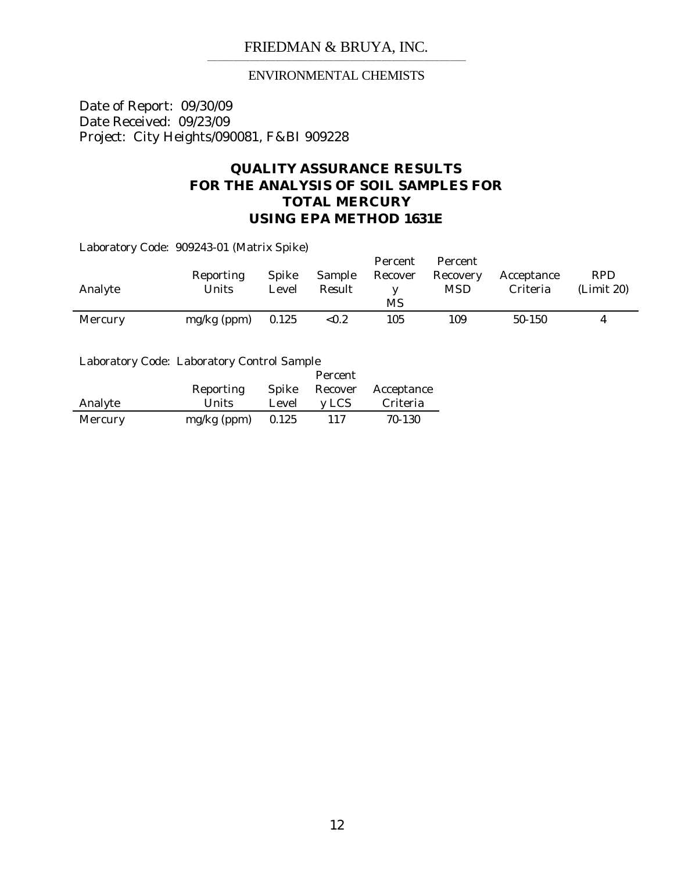### ENVIRONMENTAL CHEMISTS

Date of Report: 09/30/09 Date Received: 09/23/09 Project: City Heights/090081, F&BI 909228

## **QUALITY ASSURANCE RESULTS FOR THE ANALYSIS OF SOIL SAMPLES FOR TOTAL MERCURY USING EPA METHOD 1631E**

Laboratory Code: 909243-01 (Matrix Spike)

| Analyte | Reporting<br>Units | <b>Spike</b><br>Level | Sample<br>Result | Percent<br>Recover | Percent<br>Recovery<br><b>MSD</b> | Acceptance<br>Criteria | <b>RPD</b><br>(Limit 20) |
|---------|--------------------|-----------------------|------------------|--------------------|-----------------------------------|------------------------|--------------------------|
|         |                    |                       |                  | MS                 |                                   |                        |                          |
| Mercury | $mg/kg$ (ppm)      | 0.125                 | ${<}0.2$         | 105                | 109                               | $50-150$               | 4                        |

Laboratory Code: Laboratory Control Sample

|         |               |       | Percent |            |
|---------|---------------|-------|---------|------------|
|         | Reporting     | Spike | Recover | Acceptance |
| Analyte | <b>Units</b>  | Level | y LCS   | Criteria   |
| Mercury | $mg/kg$ (ppm) | 0.125 | 117     | 70-130     |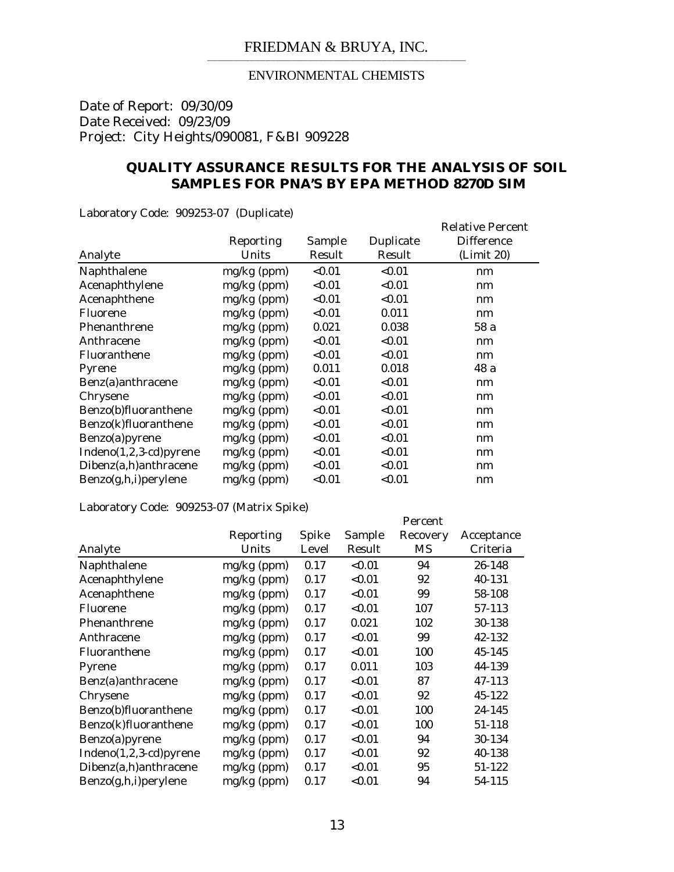### ENVIRONMENTAL CHEMISTS

Date of Report: 09/30/09 Date Received: 09/23/09 Project: City Heights/090081, F&BI 909228

### **QUALITY ASSURANCE RESULTS FOR THE ANALYSIS OF SOIL SAMPLES FOR PNA'S BY EPA METHOD 8270D SIM**

Laboratory Code: 909253-07 (Duplicate)

|                          | Reporting<br>Units | Sample<br>Result | Duplicate<br>Result | <b>Relative Percent</b><br><b>Difference</b> |
|--------------------------|--------------------|------------------|---------------------|----------------------------------------------|
| Analyte                  |                    |                  |                     | (Limit 20)                                   |
| Naphthalene              | $mg/kg$ (ppm)      | < 0.01           | < 0.01              | nm                                           |
| Acenaphthylene           | mg/kg (ppm)        | < 0.01           | < 0.01              | nm                                           |
| Acenaphthene             | $mg/kg$ (ppm)      | < 0.01           | < 0.01              | nm                                           |
| Fluorene                 | $mg/kg$ (ppm)      | < 0.01           | 0.011               | nm                                           |
| Phenanthrene             | $mg/kg$ (ppm)      | 0.021            | 0.038               | 58 a                                         |
| Anthracene               | $mg/kg$ (ppm)      | < 0.01           | < 0.01              | nm                                           |
| Fluoranthene             | $mg/kg$ (ppm)      | < 0.01           | < 0.01              | nm                                           |
| Pyrene                   | mg/kg (ppm)        | 0.011            | 0.018               | 48 a                                         |
| Benz(a)anthracene        | $mg/kg$ (ppm)      | < 0.01           | < 0.01              | nm                                           |
| Chrysene                 | $mg/kg$ (ppm)      | < 0.01           | < 0.01              | nm                                           |
| Benzo(b)fluoranthene     | $mg/kg$ (ppm)      | < 0.01           | < 0.01              | nm                                           |
| Benzo(k)fluoranthene     | $mg/kg$ (ppm)      | < 0.01           | < 0.01              | nm                                           |
| Benzo(a)pyrene           | $mg/kg$ (ppm)      | < 0.01           | < 0.01              | nm                                           |
| $Indeno(1,2,3-cd)pyrene$ | $mg/kg$ (ppm)      | < 0.01           | < 0.01              | nm                                           |
| Dibenz(a,h)anthracene    | $mg/kg$ (ppm)      | < 0.01           | < 0.01              | nm                                           |
| Benzo(g,h,i) perylene    | mg/kg (ppm)        | < 0.01           | < 0.01              | nm                                           |

Laboratory Code: 909253-07 (Matrix Spike)

|                          |               |       |        | Percent  |            |
|--------------------------|---------------|-------|--------|----------|------------|
|                          | Reporting     | Spike | Sample | Recovery | Acceptance |
| Analyte                  | Units         | Level | Result | MS       | Criteria   |
| Naphthalene              | $mg/kg$ (ppm) | 0.17  | < 0.01 | 94       | 26-148     |
| Acenaphthylene           | $mg/kg$ (ppm) | 0.17  | < 0.01 | 92       | 40-131     |
| Acenaphthene             | $mg/kg$ (ppm) | 0.17  | < 0.01 | 99       | 58-108     |
| Fluorene                 | $mg/kg$ (ppm) | 0.17  | < 0.01 | 107      | 57-113     |
| Phenanthrene             | $mg/kg$ (ppm) | 0.17  | 0.021  | 102      | 30-138     |
| Anthracene               | $mg/kg$ (ppm) | 0.17  | < 0.01 | 99       | 42-132     |
| Fluoranthene             | $mg/kg$ (ppm) | 0.17  | < 0.01 | 100      | 45-145     |
| Pyrene                   | $mg/kg$ (ppm) | 0.17  | 0.011  | 103      | 44-139     |
| Benz(a)anthracene        | $mg/kg$ (ppm) | 0.17  | < 0.01 | 87       | 47-113     |
| Chrysene                 | $mg/kg$ (ppm) | 0.17  | < 0.01 | 92       | 45-122     |
| Benzo(b)fluoranthene     | $mg/kg$ (ppm) | 0.17  | < 0.01 | 100      | 24-145     |
| Benzo(k)fluoranthene     | $mg/kg$ (ppm) | 0.17  | < 0.01 | 100      | 51-118     |
| Benzo(a)pyrene           | $mg/kg$ (ppm) | 0.17  | < 0.01 | 94       | 30-134     |
| $Indeno(1,2,3-cd)pyrene$ | $mg/kg$ (ppm) | 0.17  | < 0.01 | 92       | 40-138     |
| Dibenz(a,h)anthracene    | $mg/kg$ (ppm) | 0.17  | < 0.01 | 95       | 51-122     |
| Benzo(g,h,i)perylene     | $mg/kg$ (ppm) | 0.17  | < 0.01 | 94       | 54-115     |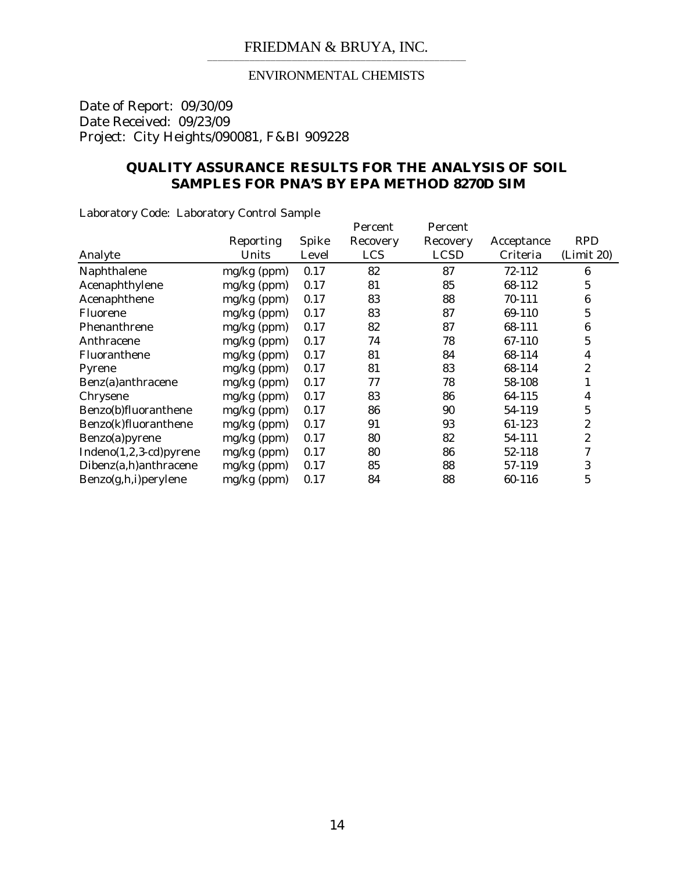### ENVIRONMENTAL CHEMISTS

Date of Report: 09/30/09 Date Received: 09/23/09 Project: City Heights/090081, F&BI 909228

### **QUALITY ASSURANCE RESULTS FOR THE ANALYSIS OF SOIL SAMPLES FOR PNA'S BY EPA METHOD 8270D SIM**

Laboratory Code: Laboratory Control Sample

|                          |               |       | Percent    | Percent     |            |                  |
|--------------------------|---------------|-------|------------|-------------|------------|------------------|
|                          | Reporting     | Spike | Recovery   | Recovery    | Acceptance | <b>RPD</b>       |
| Analyte                  | Units         | Level | <b>LCS</b> | <b>LCSD</b> | Criteria   | (Limit 20)       |
| Naphthalene              | $mg/kg$ (ppm) | 0.17  | 82         | 87          | 72-112     | 6                |
| Acenaphthylene           | mg/kg (ppm)   | 0.17  | 81         | 85          | 68-112     | $\overline{5}$   |
| Acenaphthene             | $mg/kg$ (ppm) | 0.17  | 83         | 88          | 70-111     | $\boldsymbol{6}$ |
| Fluorene                 | $mg/kg$ (ppm) | 0.17  | 83         | 87          | 69-110     | $\overline{5}$   |
| Phenanthrene             | mg/kg (ppm)   | 0.17  | 82         | 87          | 68-111     | $\boldsymbol{6}$ |
| Anthracene               | mg/kg (ppm)   | 0.17  | 74         | 78          | 67-110     | $\overline{5}$   |
| Fluoranthene             | $mg/kg$ (ppm) | 0.17  | 81         | 84          | 68-114     | $\overline{4}$   |
| Pyrene                   | $mg/kg$ (ppm) | 0.17  | 81         | 83          | 68-114     | 2                |
| Benz(a)anthracene        | $mg/kg$ (ppm) | 0.17  | 77         | 78          | 58-108     | 1                |
| Chrysene                 | mg/kg (ppm)   | 0.17  | 83         | 86          | 64-115     | 4                |
| Benzo(b)fluoranthene     | mg/kg (ppm)   | 0.17  | 86         | 90          | 54-119     | 5                |
| Benzo(k)fluoranthene     | $mg/kg$ (ppm) | 0.17  | 91         | 93          | 61-123     | $\boldsymbol{2}$ |
| Benzo(a)pyrene           | mg/kg (ppm)   | 0.17  | 80         | 82          | 54-111     | $\overline{c}$   |
| $Indeno(1,2,3-cd)pyrene$ | mg/kg (ppm)   | 0.17  | 80         | 86          | 52-118     | 7                |
| Dibenz(a,h)anthracene    | mg/kg (ppm)   | 0.17  | 85         | 88          | 57-119     | 3                |
| Benzo(g,h,i)perylene     | mg/kg (ppm)   | 0.17  | 84         | 88          | 60-116     | $\overline{5}$   |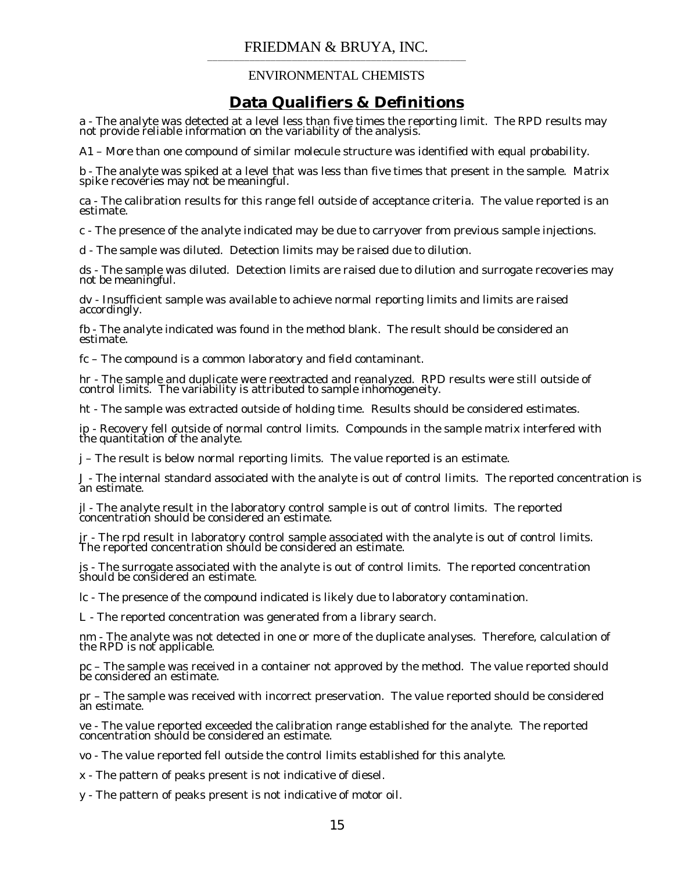### ENVIRONMENTAL CHEMISTS

## **Data Qualifiers & Definitions**

a - The analyte was detected at a level less than five times the reporting limit. The RPD results may not provide reliable information on the variability of the analysis.

A1 – More than one compound of similar molecule structure was identified with equal probability.

b - The analyte was spiked at a level that was less than five times that present in the sample. Matrix spike recoveries may not be meaningful.

ca - The calibration results for this range fell outside of acceptance criteria. The value reported is an estimate.

c - The presence of the analyte indicated may be due to carryover from previous sample injections.

d - The sample was diluted. Detection limits may be raised due to dilution.

ds - The sample was diluted. Detection limits are raised due to dilution and surrogate recoveries may not be meaningful.

dv - Insufficient sample was available to achieve normal reporting limits and limits are raised accordingly.

fb - The analyte indicated was found in the method blank. The result should be considered an estimate.

fc – The compound is a common laboratory and field contaminant.

hr - The sample and duplicate were reextracted and reanalyzed. RPD results were still outside of control limits. The variability is attributed to sample inhomogeneity.

ht - The sample was extracted outside of holding time. Results should be considered estimates.

ip - Recovery fell outside of normal control limits. Compounds in the sample matrix interfered with the quantitation of the analyte.

j – The result is below normal reporting limits. The value reported is an estimate.

J - The internal standard associated with the analyte is out of control limits. The reported concentration is an estimate.

jl - The analyte result in the laboratory control sample is out of control limits. The reported  $\alpha$ oncentration should be considered an estimate.

jr - The rpd result in laboratory control sample associated with the analyte is out of control limits. The reported concentration should be considered an estimate.

js - The surrogate associated with the analyte is out of control limits. The reported concentration should be considered an estimate.

lc - The presence of the compound indicated is likely due to laboratory contamination.

L - The reported concentration was generated from a library search.

nm - The analyte was not detected in one or more of the duplicate analyses. Therefore, calculation of the RPD is not applicable.

pc – The sample was received in a container not approved by the method. The value reported should be considered an estimate.

pr – The sample was received with incorrect preservation. The value reported should be considered an estimate.

ve - The value reported exceeded the calibration range established for the analyte. The reported concentration should be considered an estimate.

vo - The value reported fell outside the control limits established for this analyte.

x - The pattern of peaks present is not indicative of diesel.

y - The pattern of peaks present is not indicative of motor oil.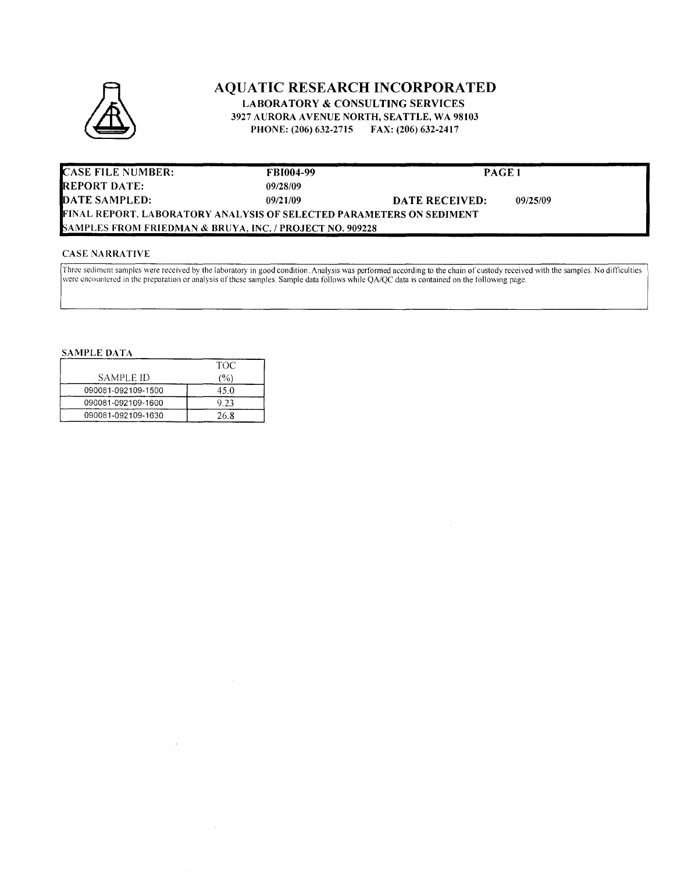

### **AQUATIC RESEARCH INCORPORATED LABORATORY & CONSULTING SERVICES**

3927 AURORA AVENUE NORTH, SEATTLE, WA 98103 PHONE: (206) 632-2715 FAX: (206) 632-2417

| <b>CASE FILE NUMBER:</b>                                             | <b>FBI004-99</b> | PAGE 1         |          |
|----------------------------------------------------------------------|------------------|----------------|----------|
| <b>REPORT DATE:</b>                                                  | 09/28/09         |                |          |
| DATE SAMPLED:                                                        | 09/21/09         | DATE RECEIVED: | 09/25/09 |
| FINAL REPORT, LABORATORY ANALYSIS OF SELECTED PARAMETERS ON SEDIMENT |                  |                |          |
| SAMPLES FROM FRIEDMAN & BRUYA. INC. / PROJECT NO. 909228             |                  |                |          |

#### **CASE NARRATIVE**

Three sediment samples were received by the laboratory in good condition. Analysis was performed according to the chain of custody received with the samples. No difficulties were encountered in the preparation or analysis

 $\mathcal{A}$ 

#### **SAMPLE DATA**

|                    | TOC  |
|--------------------|------|
| SAMPLE ID          | (%)  |
| 090081-092109-1500 | 45.0 |
| 090081-092109-1600 | 9.23 |
| 090081-092109-1630 | 26 8 |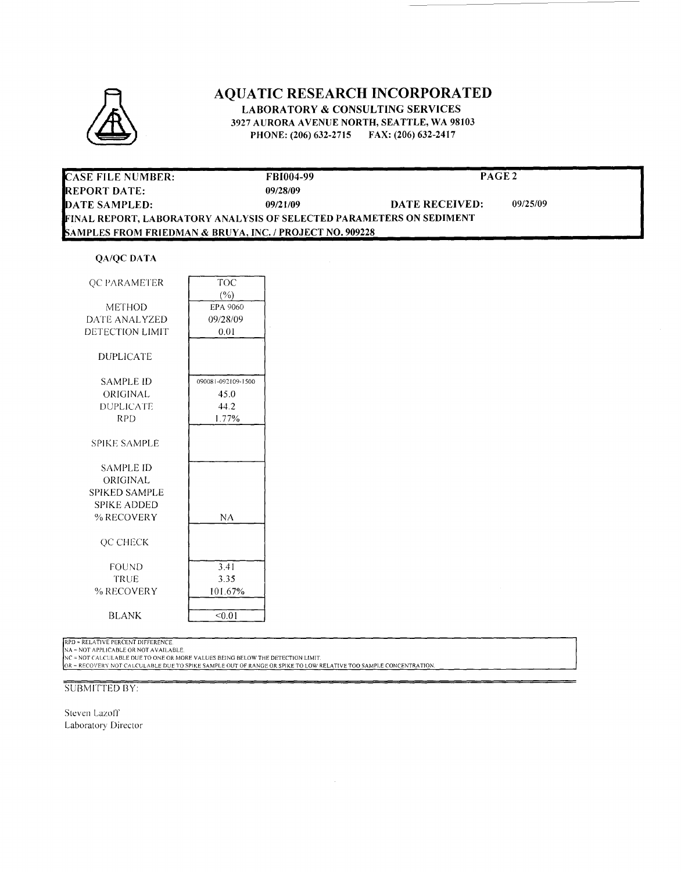

# **AQUATIC RESEARCH INCORPORATED**

**LABORATORY & CONSULTING SERVICES** 3927 AURORA AVENUE NORTH, SEATTLE, WA 98103 PHONE: (206) 632-2715 FAX: (206) 632-2417

| <b>CASE FILE NUMBER:</b>                                             | <b>FBI004-99</b> | PAGE <sub>2</sub> |          |
|----------------------------------------------------------------------|------------------|-------------------|----------|
| IREPORT DATE:-                                                       | 09/28/09         |                   |          |
| DATE SAMPLED:                                                        | 09/21/09         | DATE RECEIVED:    | 09/25/09 |
| FINAL REPORT, LABORATORY ANALYSIS OF SELECTED PARAMETERS ON SEDIMENT |                  |                   |          |
| <b>SAMPLES FROM FRIEDMAN &amp; BRUYA, INC. / PROJECT NO. 909228</b>  |                  |                   |          |

#### **QA/QC DATA**

| OC PARAMETER         | TOC                |  |
|----------------------|--------------------|--|
|                      | (%)                |  |
| METHOD               | <b>EPA 9060</b>    |  |
| DATE ANALYZED        | 09/28/09           |  |
| DETECTION LIMIT      | 0.01               |  |
|                      |                    |  |
| <b>DUPLICATE</b>     |                    |  |
| <b>SAMPLE ID</b>     | 090081-092109-1500 |  |
| ORIGINAL             | 45.0               |  |
| DUPLICATE            | 44.2               |  |
| RPD                  | 1.77%              |  |
|                      |                    |  |
| <b>SPIKE SAMPLE</b>  |                    |  |
|                      |                    |  |
| SAMPLE ID            |                    |  |
| ORIGINAL             |                    |  |
| <b>SPIKED SAMPLE</b> |                    |  |
| <b>SPIKE ADDED</b>   |                    |  |
| % RECOVERY           | NΑ                 |  |
|                      |                    |  |
| <b>OC CHECK</b>      |                    |  |
|                      |                    |  |
| FOUND                | 3.41               |  |
| TRUE                 | 3.35               |  |
| % RECOVERY           | 101.67%            |  |
|                      |                    |  |
| <b>BLANK</b>         | < 0.01             |  |

RPD = RELATIVE PERCENT DIFFERENCE.<br>NA = NOT APPLICABLE OR NOT AVAILABLE.<br>NC = NOT CALCULABLE DUE TO ONE OR MORE VALUES BEING BELOW THE DETECTION LIMIT.<br>OR = RECOVERY NOT CALCULABLE DUE TO SPIKE SAMPLE OUT OF RANGE OR SPIKE

#### **SUBMITTED BY:**

Steven Lazoff Laboratory Director